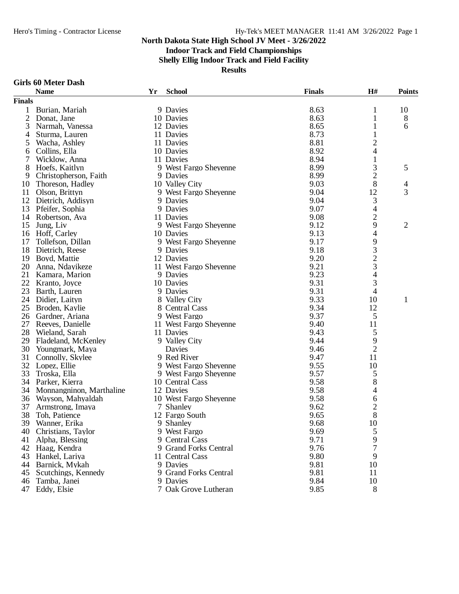### **Indoor Track and Field Championships**

**Shelly Ellig Indoor Track and Field Facility**

**Results**

#### **Girls 60 Meter Dash**

|               | <b>Name</b>              | Yr | <b>School</b>          | <b>Finals</b> | H#                                              | <b>Points</b>  |
|---------------|--------------------------|----|------------------------|---------------|-------------------------------------------------|----------------|
| <b>Finals</b> |                          |    |                        |               |                                                 |                |
| 1             | Burian, Mariah           |    | 9 Davies               | 8.63          | 1                                               | 10             |
| $\mathbf{2}$  | Donat, Jane              |    | 10 Davies              | 8.63          | 1                                               | 8              |
| 3             | Narmah, Vanessa          |    | 12 Davies              | 8.65          | 1                                               | 6              |
| 4             | Sturma, Lauren           |    | 11 Davies              | 8.73          | 1                                               |                |
| 5             | Wacha, Ashley            |    | 11 Davies              | 8.81          | 2                                               |                |
| 6             | Collins, Ella            |    | 10 Davies              | 8.92          | $\overline{\mathcal{L}}$                        |                |
| 7             | Wicklow, Anna            |    | 11 Davies              | 8.94          | $\mathbf{1}$                                    |                |
| 8             | Hoefs, Kaitlyn           |    | 9 West Fargo Sheyenne  | 8.99          |                                                 | 5              |
| 9             | Christopherson, Faith    |    | 9 Davies               | 8.99          | $\frac{3}{2}$                                   |                |
| 10            | Thoreson, Hadley         |    | 10 Valley City         | 9.03          | 8                                               | $\overline{4}$ |
| 11            | Olson, Brittyn           |    | 9 West Fargo Sheyenne  | 9.04          | 12                                              | 3              |
| 12            | Dietrich, Addisyn        |    | 9 Davies               | 9.04          | 3                                               |                |
| 13            | Pfeifer, Sophia          |    | 9 Davies               | 9.07          | $\overline{4}$                                  |                |
| 14            | Robertson, Ava           |    | 11 Davies              | 9.08          | $\overline{c}$                                  |                |
| 15            | Jung, Liv                |    | 9 West Fargo Sheyenne  | 9.12          | 9                                               | $\overline{2}$ |
| 16            | Hoff, Carley             |    | 10 Davies              | 9.13          | 4                                               |                |
| 17            | Tollefson, Dillan        |    | 9 West Fargo Sheyenne  | 9.17          | 9                                               |                |
| 18            | Dietrich, Reese          |    | 9 Davies               | 9.18          |                                                 |                |
| 19            | Boyd, Mattie             |    | 12 Davies              | 9.20          |                                                 |                |
| 20            | Anna, Ndayikeze          |    | 11 West Fargo Sheyenne | 9.21          | $\begin{array}{c} 3 \\ 2 \\ 3 \\ 4 \end{array}$ |                |
| 21            | Kamara, Marion           |    | 9 Davies               | 9.23          |                                                 |                |
| 22            | Kranto, Joyce            |    | 10 Davies              | 9.31          | 3                                               |                |
| 23            | Barth, Lauren            |    | 9 Davies               | 9.31          | 4                                               |                |
| 24            | Didier, Laityn           |    | 8 Valley City          | 9.33          | 10                                              | $\mathbf{1}$   |
| 25            | Broden, Kaylie           |    | 8 Central Cass         | 9.34          | 12                                              |                |
|               | 26 Gardner, Ariana       |    | 9 West Fargo           | 9.37          | 5                                               |                |
| 27            | Reeves, Danielle         |    | 11 West Fargo Sheyenne | 9.40          | 11                                              |                |
| 28            | Wieland, Sarah           |    | 11 Davies              | 9.43          | 5                                               |                |
| 29            | Fladeland, McKenley      |    | 9 Valley City          | 9.44          | 9                                               |                |
| 30            | Youngmark, Maya          |    | Davies                 | 9.46          | $\overline{2}$                                  |                |
| 31            | Connolly, Skylee         |    | 9 Red River            | 9.47          | 11                                              |                |
| 32            | Lopez, Ellie             |    | 9 West Fargo Sheyenne  | 9.55          | 10                                              |                |
| 33            | Troska, Ella             |    | 9 West Fargo Sheyenne  | 9.57          | 5                                               |                |
| 34            | Parker, Kierra           |    | 10 Central Cass        | 9.58          | 8                                               |                |
| 34            | Monnangninon, Marthaline |    | 12 Davies              | 9.58          | 4                                               |                |
|               | 36 Wayson, Mahyaldah     |    | 10 West Fargo Sheyenne | 9.58          | 6                                               |                |
| 37            | Armstrong, Imaya         |    | 7 Shanley              | 9.62          | $\frac{2}{8}$                                   |                |
| 38            | Toh, Patience            |    | 12 Fargo South         | 9.65          |                                                 |                |
|               | 39 Wanner, Erika         |    | 9 Shanley              | 9.68          | 10                                              |                |
| 40            | Christians, Taylor       |    | 9 West Fargo           | 9.69          | 5                                               |                |
| 41            | Alpha, Blessing          |    | 9 Central Cass         | 9.71          | 9                                               |                |
|               | 42 Haag, Kendra          |    | 9 Grand Forks Central  | 9.76          | 7                                               |                |
| 43            | Hankel, Lariya           |    | 11 Central Cass        | 9.80          | 9                                               |                |
| 44            | Barnick, Mykah           |    | 9 Davies               | 9.81          | 10                                              |                |
| 45            | Scutchings, Kennedy      |    | 9 Grand Forks Central  | 9.81          | 11                                              |                |
| 46            | Tamba, Janei             |    | 9 Davies               | 9.84          | 10                                              |                |
| 47            | Eddy, Elsie              |    | 7 Oak Grove Lutheran   | 9.85          | 8                                               |                |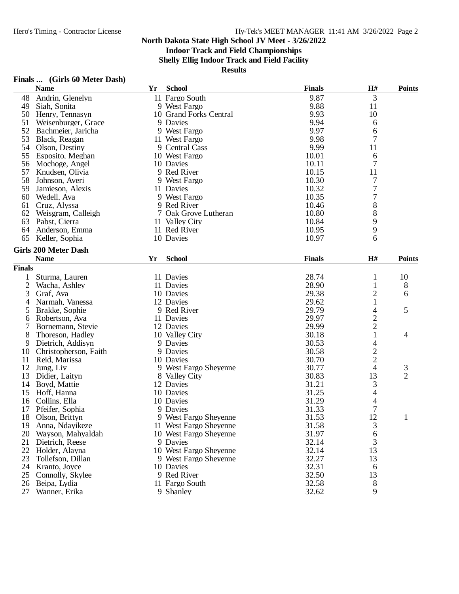### **Indoor Track and Field Championships**

**Shelly Ellig Indoor Track and Field Facility**

| Finals | (Girls 60 Meter Dash) |  |  |
|--------|-----------------------|--|--|
|        |                       |  |  |

|                | <b>FINALS</b> (GIFIS OU MELET DASIT)<br><b>Name</b> | Yr | <b>School</b>                      | <b>Finals</b> | H#                       | <b>Points</b>       |
|----------------|-----------------------------------------------------|----|------------------------------------|---------------|--------------------------|---------------------|
| 48             | Andrin, Glenelyn                                    |    | 11 Fargo South                     | 9.87          | 3                        |                     |
| 49             | Siah, Sonita                                        |    | 9 West Fargo                       | 9.88          | 11                       |                     |
|                | 50 Henry, Tennasyn                                  |    | 10 Grand Forks Central             | 9.93          | 10                       |                     |
| 51             | Weisenburger, Grace                                 |    | 9 Davies                           | 9.94          | 6                        |                     |
|                | 52 Bachmeier, Jaricha                               |    | 9 West Fargo                       | 9.97          | 6                        |                     |
| 53             | Black, Reagan                                       |    | 11 West Fargo                      | 9.98          | 7                        |                     |
| 54             | Olson, Destiny                                      |    | 9 Central Cass                     | 9.99          | 11                       |                     |
| 55             | Esposito, Meghan                                    |    | 10 West Fargo                      | 10.01         | 6                        |                     |
| 56             | Mochoge, Angel                                      |    | 10 Davies                          | 10.11         | $\overline{7}$           |                     |
| 57             | Knudsen, Olivia                                     |    | 9 Red River                        | 10.15         | 11                       |                     |
| 58             | Johnson, Averi                                      |    | 9 West Fargo                       | 10.30         | 7                        |                     |
| 59             | Jamieson, Alexis                                    |    | 11 Davies                          | 10.32         | $\overline{7}$           |                     |
| 60             | Wedell, Ava                                         |    | 9 West Fargo                       | 10.35         | $\boldsymbol{7}$         |                     |
| 61             | Cruz, Alyssa                                        |    | 9 Red River                        | 10.46         | $\,8\,$                  |                     |
|                | 62 Weisgram, Calleigh                               |    | 7 Oak Grove Lutheran               | 10.80         | 8                        |                     |
| 63             | Pabst, Cierra                                       |    | 11 Valley City                     | 10.84         | 9                        |                     |
| 64             | Anderson, Emma                                      |    | 11 Red River                       | 10.95         | 9                        |                     |
| 65             | Keller, Sophia                                      |    | 10 Davies                          | 10.97         | 6                        |                     |
|                | <b>Girls 200 Meter Dash</b>                         |    |                                    |               |                          |                     |
|                | <b>Name</b>                                         | Yr | <b>School</b>                      | <b>Finals</b> | H#                       | <b>Points</b>       |
| <b>Finals</b>  |                                                     |    |                                    |               |                          |                     |
| 1              | Sturma, Lauren                                      |    | 11 Davies                          | 28.74         | 1                        | 10                  |
| $\overline{2}$ | Wacha, Ashley                                       |    | 11 Davies                          | 28.90         | $\mathbf{1}$             | 8                   |
| 3              | Graf, Ava                                           |    | 10 Davies                          | 29.38         | $\overline{2}$           | 6                   |
| 4              | Narmah, Vanessa                                     |    | 12 Davies                          | 29.62         |                          |                     |
| 5              | Brakke, Sophie                                      |    | 9 Red River                        | 29.79         | 4                        | 5                   |
| 6              | Robertson, Ava                                      |    | 11 Davies                          | 29.97         |                          |                     |
| 7              | Bornemann, Stevie                                   |    | 12 Davies                          | 29.99         | $\frac{2}{2}$            |                     |
| 8              | Thoreson, Hadley                                    |    | 10 Valley City                     | 30.18         | $\mathbf 1$              | 4                   |
| 9              | Dietrich, Addisyn                                   |    | 9 Davies                           | 30.53         | $\overline{\mathcal{A}}$ |                     |
| 10             | Christopherson, Faith                               |    | 9 Davies                           | 30.58         |                          |                     |
| 11             |                                                     |    | 10 Davies                          | 30.70         | $\frac{2}{2}$            |                     |
| 12             | Reid, Marissa<br>Jung, Liv                          |    | 9 West Fargo Sheyenne              | 30.77         | 4                        |                     |
| 13             | Didier, Laityn                                      |    | 8 Valley City                      | 30.83         | 13                       | 3<br>$\overline{2}$ |
| 14             | Boyd, Mattie                                        |    | 12 Davies                          | 31.21         |                          |                     |
| 15             | Hoff, Hanna                                         |    | 10 Davies                          | 31.25         | 3                        |                     |
|                | Collins, Ella                                       |    |                                    | 31.29         | $\overline{4}$           |                     |
| 16             |                                                     |    | 10 Davies<br>9 Davies              | 31.33         | $\frac{4}{7}$            |                     |
|                | 17 Pfeifer, Sophia                                  |    |                                    |               |                          |                     |
| 18             | Olson, Brittyn                                      |    | 9 West Fargo Sheyenne              | 31.53         | 12                       | 1                   |
| 19             | Anna, Ndayikeze                                     |    | 11 West Fargo Sheyenne             | 31.58         | 3                        |                     |
| 20             | Wayson, Mahyaldah                                   |    | 10 West Fargo Sheyenne<br>9 Davies | 31.97         | 6                        |                     |
| 21             | Dietrich, Reese                                     |    |                                    | 32.14         | 3                        |                     |
| 22             | Holder, Alayna                                      |    | 10 West Fargo Sheyenne             | 32.14         | 13                       |                     |
| 23             | Tollefson, Dillan                                   |    | 9 West Fargo Sheyenne              | 32.27         | 13                       |                     |
| 24             | Kranto, Joyce                                       |    | 10 Davies                          | 32.31         | 6                        |                     |
| 25             | Connolly, Skylee                                    |    | 9 Red River                        | 32.50         | 13                       |                     |
| 26             | Beipa, Lydia                                        |    | 11 Fargo South                     | 32.58         | $8\,$                    |                     |
| 27             | Wanner, Erika                                       |    | 9 Shanley                          | 32.62         | 9                        |                     |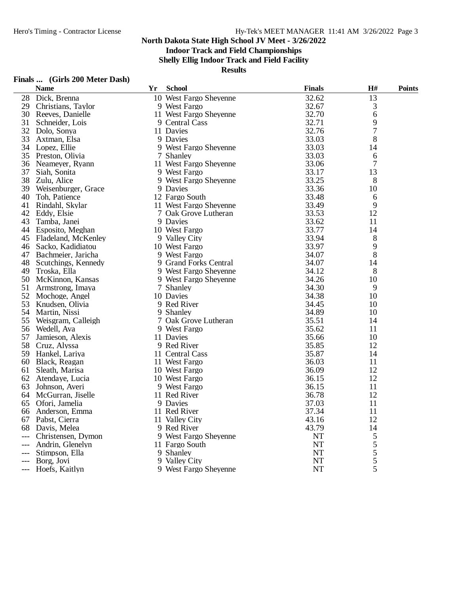**Indoor Track and Field Championships**

**Shelly Ellig Indoor Track and Field Facility**

|         |  | Finals  (Girls 200 Meter Dash) |  |
|---------|--|--------------------------------|--|
| $N = -$ |  |                                |  |

|     | <b>Name</b>           | Yr | <b>School</b>          | <b>Finals</b> | H#             | <b>Points</b> |
|-----|-----------------------|----|------------------------|---------------|----------------|---------------|
| 28  | Dick, Brenna          |    | 10 West Fargo Sheyenne | 32.62         | 13             |               |
| 29  | Christians, Taylor    |    | 9 West Fargo           | 32.67         | 3              |               |
| 30  | Reeves, Danielle      |    | 11 West Fargo Sheyenne | 32.70         | 6              |               |
| 31  | Schneider, Lois       |    | 9 Central Cass         | 32.71         | 9              |               |
| 32  | Dolo, Sonya           |    | 11 Davies              | 32.76         | $\overline{7}$ |               |
| 33  | Axtman, Elsa          |    | 9 Davies               | 33.03         | 8              |               |
|     | 34 Lopez, Ellie       |    | 9 West Fargo Sheyenne  | 33.03         | 14             |               |
| 35  | Preston, Olivia       |    | 7 Shanley              | 33.03         | 6              |               |
| 36  | Neameyer, Ryann       |    | 11 West Fargo Sheyenne | 33.06         | 7              |               |
| 37  | Siah, Sonita          |    | 9 West Fargo           | 33.17         | 13             |               |
| 38  | Zulu, Alice           |    | 9 West Fargo Sheyenne  | 33.25         | 8              |               |
| 39  | Weisenburger, Grace   |    | 9 Davies               | 33.36         | 10             |               |
| 40  | Toh, Patience         |    | 12 Fargo South         | 33.48         | 6              |               |
| 41  | Rindahl, Skylar       |    | 11 West Fargo Sheyenne | 33.49         | 9              |               |
|     | 42 Eddy, Elsie        |    | 7 Oak Grove Lutheran   | 33.53         | 12             |               |
| 43  | Tamba, Janei          |    | 9 Davies               | 33.62         | 11             |               |
|     | 44 Esposito, Meghan   |    | 10 West Fargo          | 33.77         | 14             |               |
| 45  | Fladeland, McKenley   |    | 9 Valley City          | 33.94         | 8              |               |
| 46  | Sacko, Kadidiatou     |    | 10 West Fargo          | 33.97         | 9              |               |
|     | 47 Bachmeier, Jaricha |    | 9 West Fargo           | 34.07         | 8              |               |
| 48  | Scutchings, Kennedy   |    | 9 Grand Forks Central  | 34.07         | 14             |               |
| 49  | Troska, Ella          |    | 9 West Fargo Sheyenne  | 34.12         | 8              |               |
| 50  | McKinnon, Kansas      |    | 9 West Fargo Sheyenne  | 34.26         | 10             |               |
| 51  | Armstrong, Imaya      |    | 7 Shanley              | 34.30         | 9              |               |
| 52  | Mochoge, Angel        |    | 10 Davies              | 34.38         | 10             |               |
| 53  | Knudsen, Olivia       |    | 9 Red River            | 34.45         | 10             |               |
| 54  | Martin, Nissi         |    | 9 Shanley              | 34.89         | 10             |               |
| 55  | Weisgram, Calleigh    |    | 7 Oak Grove Lutheran   | 35.51         | 14             |               |
| 56  | Wedell, Ava           |    | 9 West Fargo           | 35.62         | 11             |               |
| 57  | Jamieson, Alexis      |    | 11 Davies              | 35.66         | 10             |               |
| 58  | Cruz, Alyssa          |    | 9 Red River            | 35.85         | 12             |               |
| 59  | Hankel, Lariya        |    | 11 Central Cass        | 35.87         | 14             |               |
| 60  | Black, Reagan         |    | 11 West Fargo          | 36.03         | 11             |               |
| 61  | Sleath, Marisa        |    | 10 West Fargo          | 36.09         | 12             |               |
| 62  | Atendaye, Lucia       |    | 10 West Fargo          | 36.15         | 12             |               |
| 63  | Johnson, Averi        |    | 9 West Fargo           | 36.15         | 11             |               |
|     | 64 McGurran, Jiselle  |    | 11 Red River           | 36.78         | 12             |               |
| 65  | Ofori, Jamelia        |    | 9 Davies               | 37.03         | 11             |               |
|     | 66 Anderson, Emma     |    | 11 Red River           | 37.34         | 11             |               |
| 67  | Pabst, Cierra         |    | 11 Valley City         | 43.16         | 12             |               |
| 68  | Davis, Melea          |    | 9 Red River            | 43.79         | 14             |               |
| --- | Christensen, Dymon    |    | 9 West Fargo Sheyenne  | <b>NT</b>     | $\sqrt{5}$     |               |
| --- | Andrin, Glenelyn      |    | 11 Fargo South         | NT            | 5              |               |
|     | Stimpson, Ella        |    | 9 Shanley              | <b>NT</b>     | 5              |               |
|     | Borg, Jovi            |    | 9 Valley City          | <b>NT</b>     | 5              |               |
| --- | Hoefs, Kaitlyn        |    | 9 West Fargo Sheyenne  | <b>NT</b>     | 5              |               |
|     |                       |    |                        |               |                |               |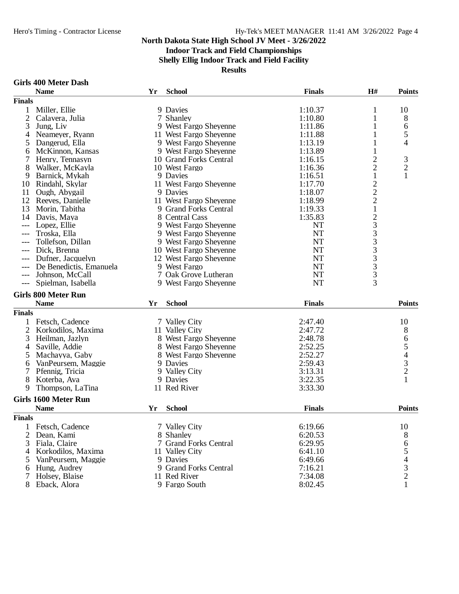### **Indoor Track and Field Championships**

**Shelly Ellig Indoor Track and Field Facility**

**Results**

#### **Girls 400 Meter Dash**

|                | <b>Name</b>                    | Yr | <b>School</b>                 | <b>Finals</b>      | H#                      | <b>Points</b>                              |
|----------------|--------------------------------|----|-------------------------------|--------------------|-------------------------|--------------------------------------------|
| <b>Finals</b>  |                                |    |                               |                    |                         |                                            |
| 1              | Miller, Ellie                  |    | 9 Davies                      | 1:10.37            | 1                       | 10                                         |
| $\overline{2}$ | Calavera, Julia                |    | 7 Shanley                     | 1:10.80            | 1                       | 8                                          |
| 3              | Jung, Liv                      |    | 9 West Fargo Sheyenne         | 1:11.86            |                         | 6                                          |
| 4              | Neameyer, Ryann                |    | 11 West Fargo Sheyenne        | 1:11.88            | 1                       | 5                                          |
| 5              | Dangerud, Ella                 |    | 9 West Fargo Sheyenne         | 1:13.19            | 1                       | 4                                          |
| 6              | McKinnon, Kansas               |    | 9 West Fargo Sheyenne         | 1:13.89            | 1                       |                                            |
|                | Henry, Tennasyn                |    | 10 Grand Forks Central        | 1:16.15            | $\overline{\mathbf{c}}$ | 3                                          |
| 8              | Walker, McKayla                |    | 10 West Fargo                 | 1:16.36            | $\overline{c}$          | $\mathbf{2}$                               |
| 9              | Barnick, Mykah                 |    | 9 Davies                      | 1:16.51            | $\mathbf{1}$            | $\mathbf{1}$                               |
| 10             | Rindahl, Skylar                |    | 11 West Fargo Sheyenne        | 1:17.70            |                         |                                            |
| 11             | Ough, Abygail                  |    | 9 Davies                      | 1:18.07            | 222123333333            |                                            |
| 12             |                                |    | 11 West Fargo Sheyenne        | 1:18.99            |                         |                                            |
|                | Reeves, Danielle               |    |                               |                    |                         |                                            |
| 13             | Morin, Tabitha                 |    | 9 Grand Forks Central         | 1:19.33            |                         |                                            |
| 14             | Davis, Maya                    |    | 8 Central Cass                | 1:35.83            |                         |                                            |
| ---            | Lopez, Ellie                   |    | 9 West Fargo Sheyenne         | NT                 |                         |                                            |
|                | Troska, Ella                   |    | 9 West Fargo Sheyenne         | <b>NT</b>          |                         |                                            |
|                | Tollefson, Dillan              |    | 9 West Fargo Sheyenne         | <b>NT</b>          |                         |                                            |
| $---$          | Dick, Brenna                   |    | 10 West Fargo Sheyenne        | <b>NT</b>          |                         |                                            |
| ---            | Dufner, Jacquelyn              |    | 12 West Fargo Sheyenne        | <b>NT</b>          |                         |                                            |
| ---            | De Benedictis, Emanuela        |    | 9 West Fargo                  | <b>NT</b>          |                         |                                            |
| $---$          | Johnson, McCall                |    | 7 Oak Grove Lutheran          | <b>NT</b>          |                         |                                            |
| ---            | Spielman, Isabella             |    | 9 West Fargo Sheyenne         | <b>NT</b>          |                         |                                            |
|                | <b>Girls 800 Meter Run</b>     |    |                               |                    |                         |                                            |
|                | <b>Name</b>                    | Yr | <b>School</b>                 | <b>Finals</b>      |                         | <b>Points</b>                              |
| <b>Finals</b>  |                                |    |                               |                    |                         |                                            |
|                |                                |    |                               |                    |                         |                                            |
| 1              | Fetsch, Cadence                |    | 7 Valley City                 | 2:47.40            |                         | 10                                         |
| $\overline{2}$ | Korkodilos, Maxima             |    | 11 Valley City                | 2:47.72            |                         | 8                                          |
| 3              | Heilman, Jazlyn                |    | 8 West Fargo Sheyenne         | 2:48.78            |                         | 6<br>5                                     |
| 4              | Saville, Addie                 |    | 8 West Fargo Sheyenne         | 2:52.25            |                         |                                            |
|                | Machayya, Gaby                 |    | 8 West Fargo Sheyenne         | 2:52.27            |                         |                                            |
| 6              | VanPeursem, Maggie             |    | 9 Davies                      | 2:59.43            |                         | $\begin{array}{c} 4 \\ 3 \\ 2 \end{array}$ |
| 7              | Pfennig, Tricia                |    | 9 Valley City                 | 3:13.31            |                         |                                            |
| 8              | Koterba, Ava                   |    | 9 Davies                      | 3:22.35            |                         |                                            |
| 9              | Thompson, LaTina               |    | 11 Red River                  | 3:33.30            |                         |                                            |
|                | Girls 1600 Meter Run           |    |                               |                    |                         |                                            |
|                | <b>Name</b>                    | Yr | <b>School</b>                 | <b>Finals</b>      |                         | <b>Points</b>                              |
| <b>Finals</b>  |                                |    |                               |                    |                         |                                            |
|                | 1 Fetsch, Cadence              |    | 7 Valley City                 | 6:19.66            |                         | 10                                         |
| 2              |                                |    |                               | 6:20.53            |                         |                                            |
|                | Dean, Kami                     |    | 8 Shanley                     |                    |                         | 8                                          |
| 3              | Fiala, Claire                  |    | 7 Grand Forks Central         | 6:29.95            |                         | 6                                          |
| 4              | Korkodilos, Maxima             |    | 11 Valley City                | 6:41.10            |                         | 5                                          |
| 5              | VanPeursem, Maggie             |    | 9 Davies                      | 6:49.66            |                         | 4                                          |
| 6              | Hung, Audrey                   |    | 9 Grand Forks Central         | 7:16.21            |                         | $\frac{3}{2}$                              |
| 7              | Holsey, Blaise<br>Eback, Alora |    | 11 Red River<br>9 Fargo South | 7:34.08<br>8:02.45 |                         | $\mathbf{1}$                               |
|                |                                |    |                               |                    |                         |                                            |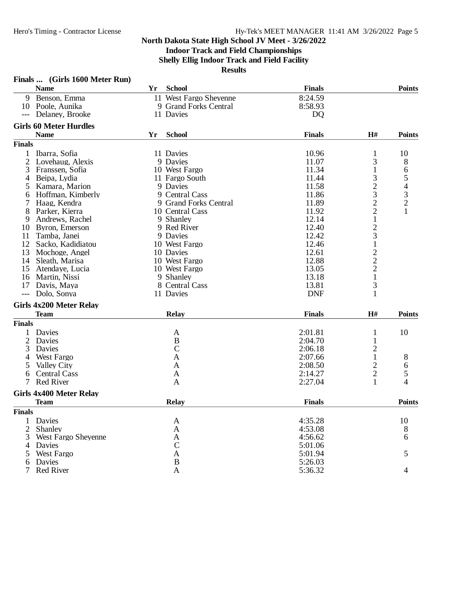### **Indoor Track and Field Championships**

**Shelly Ellig Indoor Track and Field Facility**

**Results**

|                | <b>Name</b>                    | Yr | <b>School</b>          | <b>Finals</b>  |                                            | <b>Points</b> |
|----------------|--------------------------------|----|------------------------|----------------|--------------------------------------------|---------------|
|                | 9 Benson, Emma                 |    | 11 West Fargo Sheyenne | 8:24.59        |                                            |               |
|                | 10 Poole, Aunika               |    | 9 Grand Forks Central  | 8:58.93        |                                            |               |
| $---$          | Delaney, Brooke                |    | 11 Davies              | D <sub>Q</sub> |                                            |               |
|                | <b>Girls 60 Meter Hurdles</b>  |    |                        |                |                                            |               |
|                | <b>Name</b>                    | Yr | <b>School</b>          | <b>Finals</b>  | H#                                         | <b>Points</b> |
| <b>Finals</b>  |                                |    |                        |                |                                            |               |
| $\mathbf{1}$   | Ibarra, Sofia                  |    | 11 Davies              | 10.96          | $\mathbf{1}$                               | 10            |
|                | 2 Lovehaug, Alexis             |    | 9 Davies               | 11.07          | 3                                          | 8             |
| 3              | Franssen, Sofia                |    | 10 West Fargo          | 11.34          | $\mathbf{1}$                               | 6             |
| $\overline{4}$ | Beipa, Lydia                   |    | 11 Fargo South         | 11.44          | 3                                          |               |
| 5              | Kamara, Marion                 |    | 9 Davies               | 11.58          | $\overline{c}$                             | 54321         |
| 6              | Hoffman, Kimberly              |    | 9 Central Cass         | 11.86          | 3                                          |               |
|                | Haag, Kendra                   |    | 9 Grand Forks Central  | 11.89          | $\overline{c}$                             |               |
| 8              | Parker, Kierra                 |    | 10 Central Cass        | 11.92          | $\overline{c}$                             |               |
| 9              | Andrews, Rachel                |    | 9 Shanley              | 12.14          | $\,1$                                      |               |
| 10             | Byron, Emerson                 |    | 9 Red River            | 12.40          |                                            |               |
| 11             | Tamba, Janei                   |    | 9 Davies               | 12.42          | $rac{2}{3}$                                |               |
| 12             | Sacko, Kadidiatou              |    | 10 West Fargo          | 12.46          | $\mathbf{1}$                               |               |
|                |                                |    |                        |                |                                            |               |
| 13             | Mochoge, Angel                 |    | 10 Davies              | 12.61          | $\begin{array}{c} 2 \\ 2 \\ 2 \end{array}$ |               |
| 14             | Sleath, Marisa                 |    | 10 West Fargo          | 12.88          |                                            |               |
| 15             | Atendaye, Lucia                |    | 10 West Fargo          | 13.05          |                                            |               |
| 16             | Martin, Nissi                  |    | 9 Shanley              | 13.18          | $\mathbf{1}$                               |               |
| 17             | Davis, Maya                    |    | 8 Central Cass         | 13.81          | 3                                          |               |
| $---$          | Dolo, Sonya                    |    | 11 Davies              | <b>DNF</b>     | 1                                          |               |
|                | <b>Girls 4x200 Meter Relay</b> |    |                        |                |                                            |               |
|                | <b>Team</b>                    |    | <b>Relay</b>           | <b>Finals</b>  | H#                                         | <b>Points</b> |
| <b>Finals</b>  |                                |    |                        |                |                                            |               |
| 1              | Davies                         |    | A                      | 2:01.81        | 1                                          | 10            |
| 2              | Davies                         |    | B                      | 2:04.70        | 1                                          |               |
| 3              | Davies                         |    | $\mathcal{C}$          | 2:06.18        | $\overline{c}$                             |               |
| 4              | West Fargo                     |    | $\mathbf{A}$           | 2:07.66        | $\mathbf{1}$                               | 8             |
| 5              | <b>Valley City</b>             |    | A                      | 2:08.50        |                                            | 6             |
| 6              | <b>Central Cass</b>            |    | A                      | 2:14.27        | $\frac{2}{2}$                              | 5             |
| 7              | <b>Red River</b>               |    | $\mathbf{A}$           | 2:27.04        | $\mathbf{1}$                               | 4             |
|                | <b>Girls 4x400 Meter Relay</b> |    |                        |                |                                            |               |
|                | <b>Team</b>                    |    | <b>Relay</b>           | <b>Finals</b>  |                                            | <b>Points</b> |
| <b>Finals</b>  |                                |    |                        |                |                                            |               |
| 1              | Davies                         |    | A                      | 4:35.28        |                                            | 10            |
| 2              | Shanley                        |    | A                      | 4:53.08        |                                            | 8             |
| 3              | <b>West Fargo Sheyenne</b>     |    | $\mathbf{A}$           | 4:56.62        |                                            | 6             |
|                | 4 Davies                       |    | $\mathcal{C}$          | 5:01.06        |                                            |               |
|                | 5 West Fargo                   |    | $\mathbf{A}$           | 5:01.94        |                                            | 5             |
| 6              | Davies                         |    | $\, {\bf B}$           | 5:26.03        |                                            |               |
| $7^{\circ}$    | Red River                      |    | $\mathbf{A}$           | 5:36.32        |                                            | 4             |
|                |                                |    |                        |                |                                            |               |

# **Finals ... (Girls 1600 Meter Run)**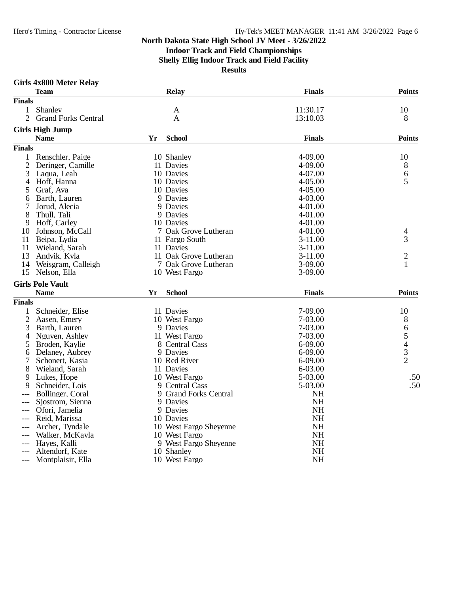**Indoor Track and Field Championships**

**Shelly Ellig Indoor Track and Field Facility**

|                | <b>Team</b>                |    | Relay                  | <b>Finals</b> | <b>Points</b>  |
|----------------|----------------------------|----|------------------------|---------------|----------------|
| <b>Finals</b>  |                            |    |                        |               |                |
| 1              | Shanley                    |    | A                      | 11:30.17      | 10             |
| $\overline{2}$ | <b>Grand Forks Central</b> |    | A                      | 13:10.03      | 8              |
|                | <b>Girls High Jump</b>     |    |                        |               |                |
|                | <b>Name</b>                | Yr | <b>School</b>          | <b>Finals</b> | <b>Points</b>  |
| <b>Finals</b>  |                            |    |                        |               |                |
| 1              | Renschler, Paige           |    | 10 Shanley             | 4-09.00       | 10             |
| 2              | Deringer, Camille          |    | 11 Davies              | 4-09.00       | 8              |
| 3              | Laqua, Leah                |    | 10 Davies              | 4-07.00       | 6              |
| 4              | Hoff, Hanna                |    | 10 Davies              | $4 - 05.00$   | 5              |
| 5              | Graf, Ava                  |    | 10 Davies              | 4-05.00       |                |
| 6              | Barth, Lauren              |    | 9 Davies               | 4-03.00       |                |
| 7              | Jorud, Alecia              |    | 9 Davies               | 4-01.00       |                |
| 8              | Thull, Tali                |    | 9 Davies               | 4-01.00       |                |
| 9              | Hoff, Carley               |    | 10 Davies              | 4-01.00       |                |
| 10             | Johnson, McCall            |    | 7 Oak Grove Lutheran   | 4-01.00       | 4              |
| 11             | Beipa, Lydia               |    | 11 Fargo South         | $3-11.00$     | 3              |
| 11             | Wieland, Sarah             |    | 11 Davies              | $3-11.00$     |                |
| 13             | Andvik, Kyla               |    | 11 Oak Grove Lutheran  | $3-11.00$     | $\overline{c}$ |
| 14             | Weisgram, Calleigh         |    | 7 Oak Grove Lutheran   | 3-09.00       | 1              |
| 15             | Nelson, Ella               |    | 10 West Fargo          | $3-09.00$     |                |
|                | <b>Girls Pole Vault</b>    |    |                        |               |                |
|                | <b>Name</b>                | Yr | <b>School</b>          | <b>Finals</b> | <b>Points</b>  |
| <b>Finals</b>  |                            |    |                        |               |                |
| $\mathbf{1}$   | Schneider, Elise           |    | 11 Davies              | 7-09.00       | 10             |
| $\overline{2}$ | Aasen, Emery               |    | 10 West Fargo          | 7-03.00       | 8              |
| 3              | Barth, Lauren              |    | 9 Davies               | 7-03.00       |                |
| 4              | Nguyen, Ashley             |    | 11 West Fargo          | 7-03.00       | 65432          |
| 5              | Broden, Kaylie             |    | 8 Central Cass         | 6-09.00       |                |
| 6              | Delaney, Aubrey            |    | 9 Davies               | 6-09.00       |                |
| 7              | Schonert, Kasia            |    | 10 Red River           | 6-09.00       |                |
| 8              | Wieland, Sarah             |    | 11 Davies              | 6-03.00       |                |
| 9              | Lukes, Hope                |    | 10 West Fargo          | 5-03.00       | .50            |
| 9              | Schneider, Lois            |    | 9 Central Cass         | 5-03.00       | .50            |
| $---$          | Bollinger, Coral           |    | 9 Grand Forks Central  | NH            |                |
|                | Sjostrom, Sienna           |    | 9 Davies               | <b>NH</b>     |                |
|                | Ofori, Jamelia             |    | 9 Davies               | <b>NH</b>     |                |
|                | Reid, Marissa              |    | 10 Davies              | <b>NH</b>     |                |
|                | Archer, Tyndale            |    | 10 West Fargo Sheyenne | <b>NH</b>     |                |
|                | Walker, McKayla            |    | 10 West Fargo          | <b>NH</b>     |                |
|                | Haves, Kalli               |    | 9 West Fargo Sheyenne  | <b>NH</b>     |                |
|                | Altendorf, Kate            |    | 10 Shanley             | <b>NH</b>     |                |
|                | --- Montplaisir, Ella      |    | 10 West Fargo          | <b>NH</b>     |                |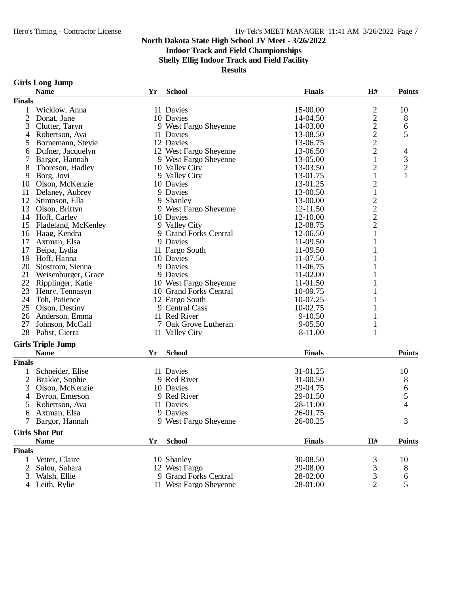### **Indoor Track and Field Championships**

**Shelly Ellig Indoor Track and Field Facility**

**Results**

#### **Girls Long Jump**

| <b>School</b><br><b>Finals</b><br>H#<br><b>Name</b><br>Yr<br><b>Finals</b><br>$\overline{\mathbf{c}}$<br>15-00.00<br>Wicklow, Anna<br>11 Davies<br>1<br>$\overline{c}$<br>$\overline{2}$<br>Donat, Jane<br>10 Davies<br>14-04.50<br>$\frac{2}{2}$<br>9 West Fargo Sheyenne<br>3<br>14-03.00<br>Clutter, Taryn<br>Robertson, Ava<br>13-08.50<br>11 Davies<br>4<br>$\overline{c}$<br>12 Davies<br>13-06.75<br>Bornemann, Stevie<br>5<br>$\overline{c}$<br>12 West Fargo Sheyenne<br>Dufner, Jacquelyn<br>13-06.50<br>6<br>$\mathbf{1}$<br>13-05.00<br>Bargor, Hannah<br>9 West Fargo Sheyenne<br>$\overline{c}$<br>8<br>Thoreson, Hadley<br>10 Valley City<br>13-03.50<br>1<br>Borg, Jovi<br>9 Valley City<br>13-01.75<br>9<br>2<br>Olson, McKenzie<br>10 Davies<br>13-01.25<br>10<br>Delaney, Aubrey<br>9 Davies<br>13-00.50<br>$\mathbf{1}$<br>11<br>$\overline{\mathbf{c}}$<br>12<br>Stimpson, Ella<br>9 Shanley<br>13-00.00<br>$\frac{2}{2}$<br>13<br>Olson, Brittyn<br>9 West Fargo Sheyenne<br>12-11.50<br>14 Hoff, Carley<br>10 Davies<br>12-10.00<br>12-08.75<br>15<br>Fladeland, McKenley<br>9 Valley City<br>9 Grand Forks Central<br>1<br>16<br>Haag, Kendra<br>12-06.50<br>17<br>9 Davies<br>1<br>Axtman, Elsa<br>11-09.50<br>17<br>11-09.50<br>Beipa, Lydia<br>11 Fargo South<br>19<br>Hoff, Hanna<br>11-07.50<br>10 Davies<br>20<br>Sjostrom, Sienna<br>9 Davies<br>11-06.75<br>21<br>9 Davies<br>11-02.00<br>Weisenburger, Grace<br>22<br>Ripplinger, Katie<br>10 West Fargo Sheyenne<br>11-01.50<br>23<br>Henry, Tennasyn<br>10 Grand Forks Central<br>10-09.75<br>24<br>Toh, Patience<br>12 Fargo South<br>10-07.25<br>25<br>10-02.75<br>1<br>Olson, Destiny<br>9 Central Cass<br>26<br>Anderson, Emma<br>11 Red River<br>$9 - 10.50$<br>1<br>27<br>Johnson, McCall<br>7 Oak Grove Lutheran<br>$9 - 05.50$<br>$\mathbf{1}$<br>$\mathbf{1}$<br>28<br>Pabst, Cierra<br>11 Valley City<br>8-11.00<br><b>Girls Triple Jump</b><br><b>Name</b><br><b>School</b><br><b>Finals</b><br>Yr<br><b>Finals</b><br>Schneider, Elise<br>31-01.25<br>11 Davies<br>$\overline{2}$<br>31-00.50<br>Brakke, Sophie<br>9 Red River<br>3<br>Olson, McKenzie<br>10 Davies<br>29-04.75<br>Byron, Emerson<br>9 Red River<br>29-01.50<br>4<br>Robertson, Ava<br>11 Davies<br>28-11.00<br>5 |                                       |
|----------------------------------------------------------------------------------------------------------------------------------------------------------------------------------------------------------------------------------------------------------------------------------------------------------------------------------------------------------------------------------------------------------------------------------------------------------------------------------------------------------------------------------------------------------------------------------------------------------------------------------------------------------------------------------------------------------------------------------------------------------------------------------------------------------------------------------------------------------------------------------------------------------------------------------------------------------------------------------------------------------------------------------------------------------------------------------------------------------------------------------------------------------------------------------------------------------------------------------------------------------------------------------------------------------------------------------------------------------------------------------------------------------------------------------------------------------------------------------------------------------------------------------------------------------------------------------------------------------------------------------------------------------------------------------------------------------------------------------------------------------------------------------------------------------------------------------------------------------------------------------------------------------------------------------------------------------------------------------------------------------------------------------------------------------------------------------------------------------------------------------------------------------------------------------------------------------------------------------------------------------------------------------|---------------------------------------|
|                                                                                                                                                                                                                                                                                                                                                                                                                                                                                                                                                                                                                                                                                                                                                                                                                                                                                                                                                                                                                                                                                                                                                                                                                                                                                                                                                                                                                                                                                                                                                                                                                                                                                                                                                                                                                                                                                                                                                                                                                                                                                                                                                                                                                                                                                  | <b>Points</b>                         |
|                                                                                                                                                                                                                                                                                                                                                                                                                                                                                                                                                                                                                                                                                                                                                                                                                                                                                                                                                                                                                                                                                                                                                                                                                                                                                                                                                                                                                                                                                                                                                                                                                                                                                                                                                                                                                                                                                                                                                                                                                                                                                                                                                                                                                                                                                  |                                       |
|                                                                                                                                                                                                                                                                                                                                                                                                                                                                                                                                                                                                                                                                                                                                                                                                                                                                                                                                                                                                                                                                                                                                                                                                                                                                                                                                                                                                                                                                                                                                                                                                                                                                                                                                                                                                                                                                                                                                                                                                                                                                                                                                                                                                                                                                                  | 10                                    |
|                                                                                                                                                                                                                                                                                                                                                                                                                                                                                                                                                                                                                                                                                                                                                                                                                                                                                                                                                                                                                                                                                                                                                                                                                                                                                                                                                                                                                                                                                                                                                                                                                                                                                                                                                                                                                                                                                                                                                                                                                                                                                                                                                                                                                                                                                  | 8                                     |
|                                                                                                                                                                                                                                                                                                                                                                                                                                                                                                                                                                                                                                                                                                                                                                                                                                                                                                                                                                                                                                                                                                                                                                                                                                                                                                                                                                                                                                                                                                                                                                                                                                                                                                                                                                                                                                                                                                                                                                                                                                                                                                                                                                                                                                                                                  | 6                                     |
|                                                                                                                                                                                                                                                                                                                                                                                                                                                                                                                                                                                                                                                                                                                                                                                                                                                                                                                                                                                                                                                                                                                                                                                                                                                                                                                                                                                                                                                                                                                                                                                                                                                                                                                                                                                                                                                                                                                                                                                                                                                                                                                                                                                                                                                                                  | 5                                     |
|                                                                                                                                                                                                                                                                                                                                                                                                                                                                                                                                                                                                                                                                                                                                                                                                                                                                                                                                                                                                                                                                                                                                                                                                                                                                                                                                                                                                                                                                                                                                                                                                                                                                                                                                                                                                                                                                                                                                                                                                                                                                                                                                                                                                                                                                                  |                                       |
|                                                                                                                                                                                                                                                                                                                                                                                                                                                                                                                                                                                                                                                                                                                                                                                                                                                                                                                                                                                                                                                                                                                                                                                                                                                                                                                                                                                                                                                                                                                                                                                                                                                                                                                                                                                                                                                                                                                                                                                                                                                                                                                                                                                                                                                                                  | $\overline{4}$                        |
|                                                                                                                                                                                                                                                                                                                                                                                                                                                                                                                                                                                                                                                                                                                                                                                                                                                                                                                                                                                                                                                                                                                                                                                                                                                                                                                                                                                                                                                                                                                                                                                                                                                                                                                                                                                                                                                                                                                                                                                                                                                                                                                                                                                                                                                                                  |                                       |
|                                                                                                                                                                                                                                                                                                                                                                                                                                                                                                                                                                                                                                                                                                                                                                                                                                                                                                                                                                                                                                                                                                                                                                                                                                                                                                                                                                                                                                                                                                                                                                                                                                                                                                                                                                                                                                                                                                                                                                                                                                                                                                                                                                                                                                                                                  | $\frac{3}{2}$                         |
|                                                                                                                                                                                                                                                                                                                                                                                                                                                                                                                                                                                                                                                                                                                                                                                                                                                                                                                                                                                                                                                                                                                                                                                                                                                                                                                                                                                                                                                                                                                                                                                                                                                                                                                                                                                                                                                                                                                                                                                                                                                                                                                                                                                                                                                                                  | $\mathbf{1}$                          |
|                                                                                                                                                                                                                                                                                                                                                                                                                                                                                                                                                                                                                                                                                                                                                                                                                                                                                                                                                                                                                                                                                                                                                                                                                                                                                                                                                                                                                                                                                                                                                                                                                                                                                                                                                                                                                                                                                                                                                                                                                                                                                                                                                                                                                                                                                  |                                       |
|                                                                                                                                                                                                                                                                                                                                                                                                                                                                                                                                                                                                                                                                                                                                                                                                                                                                                                                                                                                                                                                                                                                                                                                                                                                                                                                                                                                                                                                                                                                                                                                                                                                                                                                                                                                                                                                                                                                                                                                                                                                                                                                                                                                                                                                                                  |                                       |
|                                                                                                                                                                                                                                                                                                                                                                                                                                                                                                                                                                                                                                                                                                                                                                                                                                                                                                                                                                                                                                                                                                                                                                                                                                                                                                                                                                                                                                                                                                                                                                                                                                                                                                                                                                                                                                                                                                                                                                                                                                                                                                                                                                                                                                                                                  |                                       |
|                                                                                                                                                                                                                                                                                                                                                                                                                                                                                                                                                                                                                                                                                                                                                                                                                                                                                                                                                                                                                                                                                                                                                                                                                                                                                                                                                                                                                                                                                                                                                                                                                                                                                                                                                                                                                                                                                                                                                                                                                                                                                                                                                                                                                                                                                  |                                       |
|                                                                                                                                                                                                                                                                                                                                                                                                                                                                                                                                                                                                                                                                                                                                                                                                                                                                                                                                                                                                                                                                                                                                                                                                                                                                                                                                                                                                                                                                                                                                                                                                                                                                                                                                                                                                                                                                                                                                                                                                                                                                                                                                                                                                                                                                                  |                                       |
|                                                                                                                                                                                                                                                                                                                                                                                                                                                                                                                                                                                                                                                                                                                                                                                                                                                                                                                                                                                                                                                                                                                                                                                                                                                                                                                                                                                                                                                                                                                                                                                                                                                                                                                                                                                                                                                                                                                                                                                                                                                                                                                                                                                                                                                                                  |                                       |
|                                                                                                                                                                                                                                                                                                                                                                                                                                                                                                                                                                                                                                                                                                                                                                                                                                                                                                                                                                                                                                                                                                                                                                                                                                                                                                                                                                                                                                                                                                                                                                                                                                                                                                                                                                                                                                                                                                                                                                                                                                                                                                                                                                                                                                                                                  |                                       |
|                                                                                                                                                                                                                                                                                                                                                                                                                                                                                                                                                                                                                                                                                                                                                                                                                                                                                                                                                                                                                                                                                                                                                                                                                                                                                                                                                                                                                                                                                                                                                                                                                                                                                                                                                                                                                                                                                                                                                                                                                                                                                                                                                                                                                                                                                  |                                       |
|                                                                                                                                                                                                                                                                                                                                                                                                                                                                                                                                                                                                                                                                                                                                                                                                                                                                                                                                                                                                                                                                                                                                                                                                                                                                                                                                                                                                                                                                                                                                                                                                                                                                                                                                                                                                                                                                                                                                                                                                                                                                                                                                                                                                                                                                                  |                                       |
|                                                                                                                                                                                                                                                                                                                                                                                                                                                                                                                                                                                                                                                                                                                                                                                                                                                                                                                                                                                                                                                                                                                                                                                                                                                                                                                                                                                                                                                                                                                                                                                                                                                                                                                                                                                                                                                                                                                                                                                                                                                                                                                                                                                                                                                                                  |                                       |
|                                                                                                                                                                                                                                                                                                                                                                                                                                                                                                                                                                                                                                                                                                                                                                                                                                                                                                                                                                                                                                                                                                                                                                                                                                                                                                                                                                                                                                                                                                                                                                                                                                                                                                                                                                                                                                                                                                                                                                                                                                                                                                                                                                                                                                                                                  |                                       |
|                                                                                                                                                                                                                                                                                                                                                                                                                                                                                                                                                                                                                                                                                                                                                                                                                                                                                                                                                                                                                                                                                                                                                                                                                                                                                                                                                                                                                                                                                                                                                                                                                                                                                                                                                                                                                                                                                                                                                                                                                                                                                                                                                                                                                                                                                  |                                       |
|                                                                                                                                                                                                                                                                                                                                                                                                                                                                                                                                                                                                                                                                                                                                                                                                                                                                                                                                                                                                                                                                                                                                                                                                                                                                                                                                                                                                                                                                                                                                                                                                                                                                                                                                                                                                                                                                                                                                                                                                                                                                                                                                                                                                                                                                                  |                                       |
|                                                                                                                                                                                                                                                                                                                                                                                                                                                                                                                                                                                                                                                                                                                                                                                                                                                                                                                                                                                                                                                                                                                                                                                                                                                                                                                                                                                                                                                                                                                                                                                                                                                                                                                                                                                                                                                                                                                                                                                                                                                                                                                                                                                                                                                                                  |                                       |
|                                                                                                                                                                                                                                                                                                                                                                                                                                                                                                                                                                                                                                                                                                                                                                                                                                                                                                                                                                                                                                                                                                                                                                                                                                                                                                                                                                                                                                                                                                                                                                                                                                                                                                                                                                                                                                                                                                                                                                                                                                                                                                                                                                                                                                                                                  |                                       |
|                                                                                                                                                                                                                                                                                                                                                                                                                                                                                                                                                                                                                                                                                                                                                                                                                                                                                                                                                                                                                                                                                                                                                                                                                                                                                                                                                                                                                                                                                                                                                                                                                                                                                                                                                                                                                                                                                                                                                                                                                                                                                                                                                                                                                                                                                  |                                       |
|                                                                                                                                                                                                                                                                                                                                                                                                                                                                                                                                                                                                                                                                                                                                                                                                                                                                                                                                                                                                                                                                                                                                                                                                                                                                                                                                                                                                                                                                                                                                                                                                                                                                                                                                                                                                                                                                                                                                                                                                                                                                                                                                                                                                                                                                                  |                                       |
|                                                                                                                                                                                                                                                                                                                                                                                                                                                                                                                                                                                                                                                                                                                                                                                                                                                                                                                                                                                                                                                                                                                                                                                                                                                                                                                                                                                                                                                                                                                                                                                                                                                                                                                                                                                                                                                                                                                                                                                                                                                                                                                                                                                                                                                                                  |                                       |
|                                                                                                                                                                                                                                                                                                                                                                                                                                                                                                                                                                                                                                                                                                                                                                                                                                                                                                                                                                                                                                                                                                                                                                                                                                                                                                                                                                                                                                                                                                                                                                                                                                                                                                                                                                                                                                                                                                                                                                                                                                                                                                                                                                                                                                                                                  |                                       |
|                                                                                                                                                                                                                                                                                                                                                                                                                                                                                                                                                                                                                                                                                                                                                                                                                                                                                                                                                                                                                                                                                                                                                                                                                                                                                                                                                                                                                                                                                                                                                                                                                                                                                                                                                                                                                                                                                                                                                                                                                                                                                                                                                                                                                                                                                  |                                       |
|                                                                                                                                                                                                                                                                                                                                                                                                                                                                                                                                                                                                                                                                                                                                                                                                                                                                                                                                                                                                                                                                                                                                                                                                                                                                                                                                                                                                                                                                                                                                                                                                                                                                                                                                                                                                                                                                                                                                                                                                                                                                                                                                                                                                                                                                                  |                                       |
|                                                                                                                                                                                                                                                                                                                                                                                                                                                                                                                                                                                                                                                                                                                                                                                                                                                                                                                                                                                                                                                                                                                                                                                                                                                                                                                                                                                                                                                                                                                                                                                                                                                                                                                                                                                                                                                                                                                                                                                                                                                                                                                                                                                                                                                                                  |                                       |
|                                                                                                                                                                                                                                                                                                                                                                                                                                                                                                                                                                                                                                                                                                                                                                                                                                                                                                                                                                                                                                                                                                                                                                                                                                                                                                                                                                                                                                                                                                                                                                                                                                                                                                                                                                                                                                                                                                                                                                                                                                                                                                                                                                                                                                                                                  | <b>Points</b>                         |
|                                                                                                                                                                                                                                                                                                                                                                                                                                                                                                                                                                                                                                                                                                                                                                                                                                                                                                                                                                                                                                                                                                                                                                                                                                                                                                                                                                                                                                                                                                                                                                                                                                                                                                                                                                                                                                                                                                                                                                                                                                                                                                                                                                                                                                                                                  |                                       |
|                                                                                                                                                                                                                                                                                                                                                                                                                                                                                                                                                                                                                                                                                                                                                                                                                                                                                                                                                                                                                                                                                                                                                                                                                                                                                                                                                                                                                                                                                                                                                                                                                                                                                                                                                                                                                                                                                                                                                                                                                                                                                                                                                                                                                                                                                  | 10                                    |
|                                                                                                                                                                                                                                                                                                                                                                                                                                                                                                                                                                                                                                                                                                                                                                                                                                                                                                                                                                                                                                                                                                                                                                                                                                                                                                                                                                                                                                                                                                                                                                                                                                                                                                                                                                                                                                                                                                                                                                                                                                                                                                                                                                                                                                                                                  | 8                                     |
|                                                                                                                                                                                                                                                                                                                                                                                                                                                                                                                                                                                                                                                                                                                                                                                                                                                                                                                                                                                                                                                                                                                                                                                                                                                                                                                                                                                                                                                                                                                                                                                                                                                                                                                                                                                                                                                                                                                                                                                                                                                                                                                                                                                                                                                                                  |                                       |
|                                                                                                                                                                                                                                                                                                                                                                                                                                                                                                                                                                                                                                                                                                                                                                                                                                                                                                                                                                                                                                                                                                                                                                                                                                                                                                                                                                                                                                                                                                                                                                                                                                                                                                                                                                                                                                                                                                                                                                                                                                                                                                                                                                                                                                                                                  | $\begin{array}{c} 6 \\ 5 \end{array}$ |
|                                                                                                                                                                                                                                                                                                                                                                                                                                                                                                                                                                                                                                                                                                                                                                                                                                                                                                                                                                                                                                                                                                                                                                                                                                                                                                                                                                                                                                                                                                                                                                                                                                                                                                                                                                                                                                                                                                                                                                                                                                                                                                                                                                                                                                                                                  | $\overline{4}$                        |
| Axtman, Elsa<br>9 Davies<br>26-01.75<br>6                                                                                                                                                                                                                                                                                                                                                                                                                                                                                                                                                                                                                                                                                                                                                                                                                                                                                                                                                                                                                                                                                                                                                                                                                                                                                                                                                                                                                                                                                                                                                                                                                                                                                                                                                                                                                                                                                                                                                                                                                                                                                                                                                                                                                                        |                                       |
| 9 West Fargo Shevenne<br>7 Bargor, Hannah<br>26-00.25                                                                                                                                                                                                                                                                                                                                                                                                                                                                                                                                                                                                                                                                                                                                                                                                                                                                                                                                                                                                                                                                                                                                                                                                                                                                                                                                                                                                                                                                                                                                                                                                                                                                                                                                                                                                                                                                                                                                                                                                                                                                                                                                                                                                                            | 3                                     |
|                                                                                                                                                                                                                                                                                                                                                                                                                                                                                                                                                                                                                                                                                                                                                                                                                                                                                                                                                                                                                                                                                                                                                                                                                                                                                                                                                                                                                                                                                                                                                                                                                                                                                                                                                                                                                                                                                                                                                                                                                                                                                                                                                                                                                                                                                  |                                       |
| <b>Girls Shot Put</b>                                                                                                                                                                                                                                                                                                                                                                                                                                                                                                                                                                                                                                                                                                                                                                                                                                                                                                                                                                                                                                                                                                                                                                                                                                                                                                                                                                                                                                                                                                                                                                                                                                                                                                                                                                                                                                                                                                                                                                                                                                                                                                                                                                                                                                                            |                                       |
| <b>School</b><br><b>Finals</b><br>H#<br><b>Name</b><br>Yr                                                                                                                                                                                                                                                                                                                                                                                                                                                                                                                                                                                                                                                                                                                                                                                                                                                                                                                                                                                                                                                                                                                                                                                                                                                                                                                                                                                                                                                                                                                                                                                                                                                                                                                                                                                                                                                                                                                                                                                                                                                                                                                                                                                                                        | <b>Points</b>                         |
| <b>Finals</b>                                                                                                                                                                                                                                                                                                                                                                                                                                                                                                                                                                                                                                                                                                                                                                                                                                                                                                                                                                                                                                                                                                                                                                                                                                                                                                                                                                                                                                                                                                                                                                                                                                                                                                                                                                                                                                                                                                                                                                                                                                                                                                                                                                                                                                                                    |                                       |
| Vetter, Claire<br>10 Shanley<br>30-08.50<br>1<br>3                                                                                                                                                                                                                                                                                                                                                                                                                                                                                                                                                                                                                                                                                                                                                                                                                                                                                                                                                                                                                                                                                                                                                                                                                                                                                                                                                                                                                                                                                                                                                                                                                                                                                                                                                                                                                                                                                                                                                                                                                                                                                                                                                                                                                               | 10                                    |
| 3<br>2<br>Salou, Sahara<br>12 West Fargo<br>29-08.00                                                                                                                                                                                                                                                                                                                                                                                                                                                                                                                                                                                                                                                                                                                                                                                                                                                                                                                                                                                                                                                                                                                                                                                                                                                                                                                                                                                                                                                                                                                                                                                                                                                                                                                                                                                                                                                                                                                                                                                                                                                                                                                                                                                                                             | 8                                     |
| 3<br>Walsh, Ellie<br>9 Grand Forks Central<br>28-02.00<br>3                                                                                                                                                                                                                                                                                                                                                                                                                                                                                                                                                                                                                                                                                                                                                                                                                                                                                                                                                                                                                                                                                                                                                                                                                                                                                                                                                                                                                                                                                                                                                                                                                                                                                                                                                                                                                                                                                                                                                                                                                                                                                                                                                                                                                      | 6                                     |
| $\overline{2}$<br>4 Leith, Rylie<br>11 West Fargo Sheyenne<br>28-01.00                                                                                                                                                                                                                                                                                                                                                                                                                                                                                                                                                                                                                                                                                                                                                                                                                                                                                                                                                                                                                                                                                                                                                                                                                                                                                                                                                                                                                                                                                                                                                                                                                                                                                                                                                                                                                                                                                                                                                                                                                                                                                                                                                                                                           | 5                                     |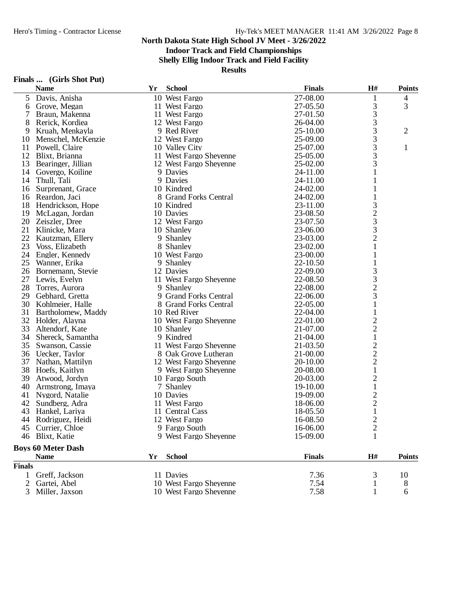**Indoor Track and Field Championships**

**Shelly Ellig Indoor Track and Field Facility**

|               | <b>Name</b>               | Yr | <b>School</b>          | <b>Finals</b> | H#                                              | <b>Points</b>  |
|---------------|---------------------------|----|------------------------|---------------|-------------------------------------------------|----------------|
| 5             | Davis, Anisha             |    | 10 West Fargo          | 27-08.00      | 1                                               | 4              |
| 6             | Grove, Megan              |    | 11 West Fargo          | 27-05.50      | 3                                               | 3              |
| 7             | Braun, Makenna            |    | 11 West Fargo          | 27-01.50      | 3                                               |                |
| 8             | Rerick, Kordiea           |    | 12 West Fargo          | 26-04.00      | 3                                               |                |
| 9             | Kruah, Menkayla           |    | 9 Red River            | 25-10.00      | 3                                               | $\overline{2}$ |
| 10            | Menschel, McKenzie        |    | 12 West Fargo          | 25-09.00      | 3                                               |                |
| 11            | Powell, Claire            |    | 10 Valley City         | 25-07.00      | 3                                               | $\mathbf{1}$   |
| 12            | Blixt, Brianna            |    | 11 West Fargo Sheyenne | 25-05.00      | 3                                               |                |
| 13            | Bearinger, Jillian        |    | 12 West Fargo Sheyenne | 25-02.00      | 3                                               |                |
| 14            | Govergo, Koiline          |    | 9 Davies               | 24-11.00      | 1                                               |                |
| 14            | Thull, Tali               |    | 9 Davies               | 24-11.00      | 1                                               |                |
| 16            | Surprenant, Grace         |    | 10 Kindred             | 24-02.00      |                                                 |                |
| 16            | Reardon, Jaci             |    | 8 Grand Forks Central  | 24-02.00      |                                                 |                |
| 18            | Hendrickson, Hope         |    | 10 Kindred             | 23-11.00      |                                                 |                |
| 19            | McLagan, Jordan           |    | 10 Davies              | 23-08.50      | $\frac{3}{2}$                                   |                |
| 20            | Zeiszler, Dree            |    | 12 West Fargo          | 23-07.50      |                                                 |                |
| 21            | Klinicke, Mara            |    | 10 Shanley             | 23-06.00      | 3                                               |                |
| 22            | Kautzman, Ellery          |    | 9 Shanley              | 23-03.00      | $\overline{c}$                                  |                |
| 23            | Voss, Elizabeth           |    | 8 Shanley              | 23-02.00      | $\mathbf 1$                                     |                |
|               | 24 Engler, Kennedy        |    | 10 West Fargo          | 23-00.00      | 1                                               |                |
| 25            | Wanner, Erika             |    | 9 Shanley              | 22-10.50      |                                                 |                |
| 26            | Bornemann, Stevie         |    | 12 Davies              | 22-09.00      | 3                                               |                |
| 27            | Lewis, Evelyn             |    | 11 West Fargo Sheyenne | 22-08.50      |                                                 |                |
| 28            | Torres, Aurora            |    | 9 Shanley              | 22-08.00      | $\begin{array}{c} 3 \\ 2 \\ 3 \end{array}$      |                |
| 29            | Gebhard, Gretta           |    | 9 Grand Forks Central  | 22-06.00      |                                                 |                |
| 30            | Kohlmeier, Halle          |    | 8 Grand Forks Central  | 22-05.00      | 1                                               |                |
| 31            | Bartholomew, Maddy        |    | 10 Red River           | 22-04.00      |                                                 |                |
| 32            | Holder, Alayna            |    | 10 West Fargo Sheyenne | 22-01.00      | $\overline{c}$                                  |                |
| 33            | Altendorf, Kate           |    | 10 Shanley             | 21-07.00      | $\overline{c}$                                  |                |
| 34            | Shereck, Samantha         |    | 9 Kindred              | 21-04.00      | $\mathbf 1$                                     |                |
| 35            | Swanson, Cassie           |    | 11 West Fargo Sheyenne | 21-03.50      |                                                 |                |
| 36            | Uecker, Taylor            |    | 8 Oak Grove Lutheran   | 21-00.00      | $\begin{array}{c} 2 \\ 2 \\ 2 \\ 1 \end{array}$ |                |
| 37            | Nathan, Mattilyn          |    | 12 West Fargo Sheyenne | 20-10.00      |                                                 |                |
| 38            | Hoefs, Kaitlyn            |    | 9 West Fargo Sheyenne  | 20-08.00      |                                                 |                |
| 39            | Atwood, Jordyn            |    | 10 Fargo South         | 20-03.00      | $\overline{c}$                                  |                |
| 40            | Armstrong, Imaya          |    | 7 Shanley              | 19-10.00      | $\mathbf 1$                                     |                |
| 41            | Nygord, Natalie           |    | 10 Davies              | 19-09.00      | $\overline{\mathbf{c}}$                         |                |
| 42            | Sundberg, Adra            |    | 11 West Fargo          | 18-06.00      | $\frac{2}{1}$                                   |                |
| 43            | Hankel, Lariya            |    | 11 Central Cass        | 18-05.50      |                                                 |                |
| 44            | Rodriguez, Heidi          |    | 12 West Fargo          | 16-08.50      | $\overline{2}$                                  |                |
| 45            | Currier, Chloe            |    | 9 Fargo South          | 16-06.00      | $\overline{c}$                                  |                |
| 46            | Blixt, Katie              |    | 9 West Fargo Sheyenne  | 15-09.00      | 1                                               |                |
|               | <b>Boys 60 Meter Dash</b> |    |                        |               |                                                 |                |
|               | <b>Name</b>               | Yr | <b>School</b>          | <b>Finals</b> | H#                                              | <b>Points</b>  |
| <b>Finals</b> |                           |    |                        |               |                                                 |                |
| 1             | Greff, Jackson            |    | 11 Davies              | 7.36          | 3                                               | 10             |
| 2             | Gartei, Abel              |    | 10 West Fargo Sheyenne | 7.54          |                                                 | 8              |
| 3             | Miller, Jaxson            |    | 10 West Fargo Sheyenne | 7.58          | 1                                               | 6              |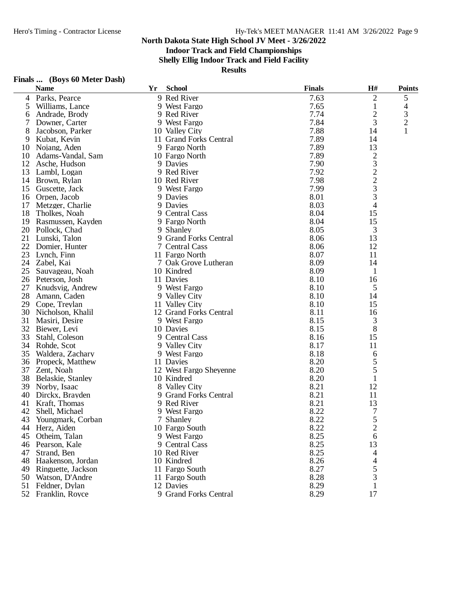**Indoor Track and Field Championships**

**Shelly Ellig Indoor Track and Field Facility**

| Finals |  |  | (Boys 60 Meter Dash) |  |
|--------|--|--|----------------------|--|
|--------|--|--|----------------------|--|

|    | <b>Name</b>           | Yr | <b>School</b>          | <b>Finals</b> | H#                                         | <b>Points</b>  |
|----|-----------------------|----|------------------------|---------------|--------------------------------------------|----------------|
| 4  | Parks, Pearce         |    | 9 Red River            | 7.63          | $\overline{c}$                             | 5              |
| 5  | Williams, Lance       |    | 9 West Fargo           | 7.65          | 1                                          | 4              |
| 6  | Andrade, Brody        |    | 9 Red River            | 7.74          | $\overline{c}$                             | 3              |
| 7  | Downer, Carter        |    | 9 West Fargo           | 7.84          | 3                                          | $\overline{c}$ |
| 8  | Jacobson, Parker      |    | 10 Valley City         | 7.88          | 14                                         | 1              |
| 9  | Kubat, Kevin          |    | 11 Grand Forks Central | 7.89          | 14                                         |                |
| 10 | Nojang, Aden          |    | 9 Fargo North          | 7.89          | 13                                         |                |
| 10 | Adams-Vandal, Sam     |    | 10 Fargo North         | 7.89          | $\overline{\mathbf{c}}$                    |                |
| 12 | Asche, Hudson         |    | 9 Davies               | 7.90          |                                            |                |
| 13 | Lambl, Logan          |    | 9 Red River            | 7.92          | $\begin{array}{c} 3 \\ 2 \\ 3 \end{array}$ |                |
| 14 | Brown, Rylan          |    | 10 Red River           | 7.98          |                                            |                |
| 15 | Guscette, Jack        |    | 9 West Fargo           | 7.99          |                                            |                |
| 16 | Orpen, Jacob          |    | 9 Davies               | 8.01          | 3                                          |                |
| 17 | Metzger, Charlie      |    | 9 Davies               | 8.03          | 4                                          |                |
| 18 | Tholkes, Noah         |    | 9 Central Cass         | 8.04          | 15                                         |                |
| 19 | Rasmussen, Kayden     |    | 9 Fargo North          | 8.04          | 15                                         |                |
| 20 | Pollock, Chad         |    | 9 Shanley              | 8.05          | 3                                          |                |
| 21 | Lunski, Talon         |    | 9 Grand Forks Central  | 8.06          | 13                                         |                |
| 22 | Domier, Hunter        |    | 7 Central Cass         | 8.06          | 12                                         |                |
| 23 | Lynch, Finn           |    | 11 Fargo North         | 8.07          | 11                                         |                |
|    | 24 Zabel, Kai         |    | 7 Oak Grove Lutheran   | 8.09          | 14                                         |                |
| 25 | Sauvageau, Noah       |    | 10 Kindred             | 8.09          | 1                                          |                |
| 26 | Peterson, Josh        |    | 11 Davies              | 8.10          | 16                                         |                |
| 27 | Knudsvig, Andrew      |    | 9 West Fargo           | 8.10          | 5                                          |                |
| 28 |                       |    | 9 Valley City          | 8.10          | 14                                         |                |
|    | Amann, Caden          |    |                        |               |                                            |                |
| 29 | Cope, Treylan         |    | 11 Valley City         | 8.10          | 15                                         |                |
| 30 | Nicholson, Khalil     |    | 12 Grand Forks Central | 8.11          | 16                                         |                |
| 31 | Masiri, Desire        |    | 9 West Fargo           | 8.15          | 3                                          |                |
| 32 | Biewer, Levi          |    | 10 Davies              | 8.15          | 8                                          |                |
| 33 | Stahl, Coleson        |    | 9 Central Cass         | 8.16          | 15                                         |                |
| 34 | Rohde, Scot           |    | 9 Valley City          | 8.17          | 11                                         |                |
| 35 | Waldera, Zachary      |    | 9 West Fargo           | 8.18          | 6                                          |                |
| 36 | Propeck, Matthew      |    | 11 Davies              | 8.20          | 5                                          |                |
| 37 | Zent, Noah            |    | 12 West Fargo Sheyenne | 8.20          | 5                                          |                |
| 38 | Belaskie, Stanley     |    | 10 Kindred             | 8.20          | 1                                          |                |
| 39 | Norby, Isaac          |    | 8 Valley City          | 8.21          | 12                                         |                |
| 40 | Dirckx, Brayden       |    | 9 Grand Forks Central  | 8.21          | 11                                         |                |
| 41 | Kraft, Thomas         |    | 9 Red River            | 8.21          | 13                                         |                |
| 42 | Shell, Michael        |    | 9 West Fargo           | 8.22          | 7                                          |                |
|    | 43 Youngmark, Corban  |    | 7 Shanley              | 8.22          | 5                                          |                |
| 44 | Herz, Aiden           |    | 10 Fargo South         | 8.22          | $\overline{c}$                             |                |
| 45 | Otheim, Talan         |    | 9 West Fargo           | 8.25          | 6                                          |                |
|    | 46 Pearson, Kale      |    | 9 Central Cass         | 8.25          | 13                                         |                |
| 47 | Strand, Ben           |    | 10 Red River           | 8.25          | 4                                          |                |
|    | 48 Haakenson, Jordan  |    | 10 Kindred             | 8.26          | 4                                          |                |
|    | 49 Ringuette, Jackson |    | 11 Fargo South         | 8.27          | 5                                          |                |
|    | 50 Watson, D'Andre    |    | 11 Fargo South         | 8.28          | 3                                          |                |
| 51 | Feldner, Dylan        |    | 12 Davies              | 8.29          | $\mathbf{1}$                               |                |
|    | 52 Franklin, Royce    |    | 9 Grand Forks Central  | 8.29          | 17                                         |                |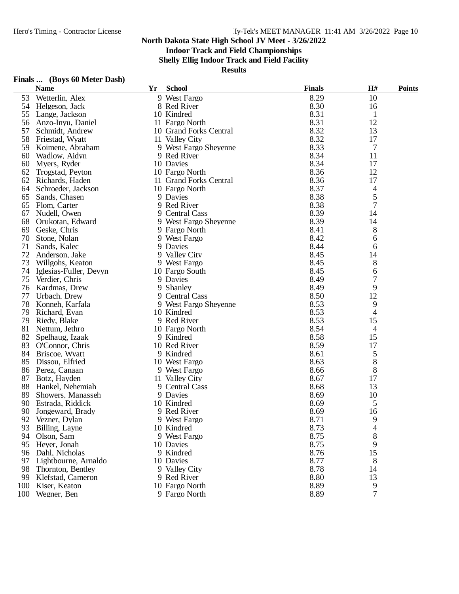**Indoor Track and Field Championships**

**Shelly Ellig Indoor Track and Field Facility**

| Finals | (Boys 60 Meter Dash) |  |  |
|--------|----------------------|--|--|
|--------|----------------------|--|--|

|     | <b>Name</b>             | Yr | <b>School</b>                 | <b>Finals</b> | H#             | <b>Points</b> |
|-----|-------------------------|----|-------------------------------|---------------|----------------|---------------|
| 53  | Wetterlin, Alex         |    | 9 West Fargo                  | 8.29          | 10             |               |
| 54  | Helgeson, Jack          |    | 8 Red River                   | 8.30          | 16             |               |
| 55  | Lange, Jackson          |    | 10 Kindred                    | 8.31          | 1              |               |
| 56  | Anzo-Inyu, Daniel       |    | 11 Fargo North                | 8.31          | 12             |               |
| 57  | Schmidt, Andrew         |    | 10 Grand Forks Central        | 8.32          | 13             |               |
| 58  | Friestad, Wyatt         |    | 11 Valley City                | 8.32          | 17             |               |
| 59  | Koimene, Abraham        |    | 9 West Fargo Sheyenne         | 8.33          | 7              |               |
| 60  | Wadlow, Aidyn           |    | 9 Red River                   | 8.34          | 11             |               |
| 60  | Myers, Ryder            |    | 10 Davies                     | 8.34          | 17             |               |
| 62  | Trogstad, Peyton        |    | 10 Fargo North                | 8.36          | 12             |               |
| 62  | Richards, Haden         |    | 11 Grand Forks Central        | 8.36          | 17             |               |
| 64  | Schroeder, Jackson      |    | 10 Fargo North                | 8.37          | 4              |               |
| 65  | Sands, Chasen           |    | 9 Davies                      | 8.38          | 5              |               |
| 65  | Flom, Carter            |    | 9 Red River                   | 8.38          | 7              |               |
| 67  | Nudell, Owen            |    | 9 Central Cass                | 8.39          | 14             |               |
| 68  | Orukotan, Edward        |    | 9 West Fargo Sheyenne         | 8.39          | 14             |               |
| 69  | Geske, Chris            |    | 9 Fargo North                 | 8.41          | 8              |               |
| 70  | Stone, Nolan            |    | 9 West Fargo                  | 8.42          | 6              |               |
| 71  | Sands, Kalec            |    | 9 Davies                      | 8.44          | 6              |               |
| 72  |                         |    |                               | 8.45          |                |               |
|     | Anderson, Jake          |    | 9 Valley City<br>9 West Fargo |               | 14             |               |
| 73  | Willgohs, Keaton        |    |                               | 8.45          | 8              |               |
| 74  | Iglesias-Fuller, Devyn  |    | 10 Fargo South                | 8.45          | 6              |               |
| 75  | Verdier, Chris          |    | 9 Davies                      | 8.49          | 7              |               |
| 76  | Kardmas, Drew           |    | 9 Shanley                     | 8.49          | 9              |               |
| 77  | Urbach, Drew            |    | 9 Central Cass                | 8.50          | 12             |               |
| 78  | Konneh, Karfala         |    | 9 West Fargo Sheyenne         | 8.53          | 9              |               |
| 79  | Richard, Evan           |    | 10 Kindred                    | 8.53          | 4              |               |
| 79  | Riedy, Blake            |    | 9 Red River                   | 8.53          | 15             |               |
| 81  | Nettum, Jethro          |    | 10 Fargo North                | 8.54          | 4              |               |
| 82  | Spelhaug, Izaak         |    | 9 Kindred                     | 8.58          | 15             |               |
| 83  | O'Connor, Chris         |    | 10 Red River                  | 8.59          | 17             |               |
| 84  | Briscoe, Wyatt          |    | 9 Kindred                     | 8.61          | 5              |               |
| 85  | Dissou, Elfried         |    | 10 West Fargo                 | 8.63          | 8              |               |
| 86  | Perez, Canaan           |    | 9 West Fargo                  | 8.66          | 8              |               |
| 87  | Botz, Hayden            |    | 11 Valley City                | 8.67          | 17             |               |
| 88  | Hankel, Nehemiah        |    | 9 Central Cass                | 8.68          | 13             |               |
| 89  | Showers, Manasseh       |    | 9 Davies                      | 8.69          | 10             |               |
| 90  | Estrada, Riddick        |    | 10 Kindred                    | 8.69          | 5              |               |
| 90  | Jongeward, Brady        |    | 9 Red River                   | 8.69          | 16             |               |
| 92  | Vezner, Dylan           |    | 9 West Fargo                  | 8.71          | 9              |               |
| 93  | Billing, Layne          |    | 10 Kindred                    | 8.73          | 4              |               |
| 94  | Olson, Sam              |    | 9 West Fargo                  | 8.75          | 8              |               |
| 95  | Heyer, Jonah            |    | 10 Davies                     | 8.75          | 9              |               |
|     | 96 Dahl, Nicholas       |    | 9 Kindred                     | 8.76          | 15             |               |
|     | 97 Lightbourne, Arnaldo |    | 10 Davies                     | 8.77          | 8              |               |
| 98  | Thornton, Bentley       |    | 9 Valley City                 | 8.78          | 14             |               |
| 99  | Klefstad, Cameron       |    | 9 Red River                   | 8.80          | 13             |               |
| 100 | Kiser, Keaton           |    | 10 Fargo North                | 8.89          | 9              |               |
| 100 | Wegner, Ben             |    | 9 Fargo North                 | 8.89          | $\overline{7}$ |               |
|     |                         |    |                               |               |                |               |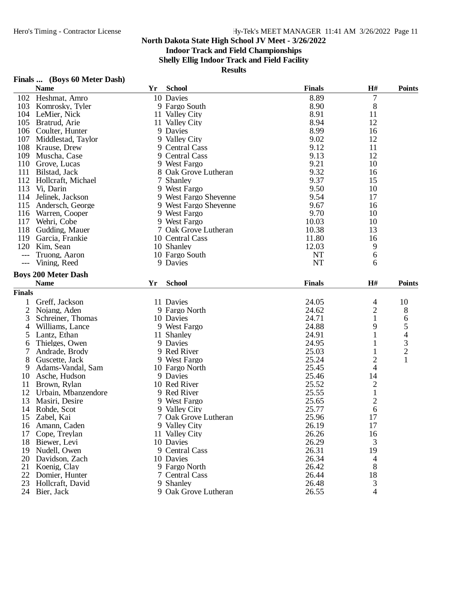### **Indoor Track and Field Championships**

**Shelly Ellig Indoor Track and Field Facility**

| Finals |  |  | (Boys 60 Meter Dash) |  |
|--------|--|--|----------------------|--|
|--------|--|--|----------------------|--|

|                | <b>FINALS </b> (BOYS OU IVIELET DASIL)<br><b>Name</b> | Yr | <b>School</b>         | <b>Finals</b> | H#                      | <b>Points</b>  |
|----------------|-------------------------------------------------------|----|-----------------------|---------------|-------------------------|----------------|
|                | 102 Heshmat, Amro                                     |    | 10 Davies             | 8.89          | 7                       |                |
|                |                                                       |    | 9 Fargo South         | 8.90          |                         |                |
| 103            | Komrosky, Tyler<br>104 LeMier, Nick                   |    |                       | 8.91          | 8<br>11                 |                |
|                | 105 Bratrud, Arie                                     |    | 11 Valley City        | 8.94          | 12                      |                |
|                |                                                       |    | 11 Valley City        |               |                         |                |
|                | 106 Coulter, Hunter                                   |    | 9 Davies              | 8.99          | 16                      |                |
| 107            | Middlestad, Taylor                                    |    | 9 Valley City         | 9.02          | 12                      |                |
| 108            | Krause, Drew                                          |    | 9 Central Cass        | 9.12          | 11                      |                |
| 109            | Muscha, Case                                          |    | 9 Central Cass        | 9.13          | 12                      |                |
|                | 110 Grove, Lucas                                      |    | 9 West Fargo          | 9.21          | 10                      |                |
| 111            | Bilstad, Jack                                         |    | 8 Oak Grove Lutheran  | 9.32          | 16                      |                |
|                | 112 Hollcraft, Michael                                |    | 7 Shanley             | 9.37          | 15                      |                |
| 113            | Vi, Darin                                             |    | 9 West Fargo          | 9.50          | 10                      |                |
| 114            | Jelinek, Jackson                                      |    | 9 West Fargo Sheyenne | 9.54          | 17                      |                |
| 115            | Andersch, George                                      |    | 9 West Fargo Sheyenne | 9.67          | 16                      |                |
|                | 116 Warren, Cooper                                    |    | 9 West Fargo          | 9.70          | 10                      |                |
| 117            | Wehri, Cobe                                           |    | 9 West Fargo          | 10.03         | 10                      |                |
| 118            | Gudding, Mauer                                        |    | 7 Oak Grove Lutheran  | 10.38         | 13                      |                |
| 119            | Garcia, Frankie                                       |    | 10 Central Cass       | 11.80         | 16                      |                |
| 120            | Kim, Sean                                             |    | 10 Shanley            | 12.03         | 9                       |                |
|                | Truong, Aaron                                         |    | 10 Fargo South        | <b>NT</b>     | 6                       |                |
| $---$          | Vining, Reed                                          |    | 9 Davies              | <b>NT</b>     | 6                       |                |
|                | <b>Boys 200 Meter Dash</b>                            |    |                       |               |                         |                |
|                | <b>Name</b>                                           | Yr | <b>School</b>         | <b>Finals</b> | H#                      | <b>Points</b>  |
| <b>Finals</b>  |                                                       |    |                       |               |                         |                |
| 1              | Greff, Jackson                                        |    | 11 Davies             | 24.05         | 4                       | 10             |
| $\overline{2}$ | Nojang, Aden                                          |    | 9 Fargo North         | 24.62         | 2                       | 8              |
| 3              | Schreiner, Thomas                                     |    | 10 Davies             | 24.71         | $\mathbf{1}$            | 6              |
| 4              | Williams, Lance                                       |    | 9 West Fargo          | 24.88         | 9                       | 5              |
| 5              | Lantz, Ethan                                          |    | 11 Shanley            | 24.91         | 1                       | 4              |
| 6              | Thielges, Owen                                        |    | 9 Davies              | 24.95         | 1                       | 3              |
| 7              | Andrade, Brody                                        |    | 9 Red River           | 25.03         | 1                       | $\overline{c}$ |
| 8              | Guscette, Jack                                        |    | 9 West Fargo          | 25.24         | 2                       | $\mathbf{1}$   |
| 9              | Adams-Vandal, Sam                                     |    | 10 Fargo North        | 25.45         | 4                       |                |
| 10             | Asche, Hudson                                         |    | 9 Davies              | 25.46         | 14                      |                |
| 11             | Brown, Rylan                                          |    | 10 Red River          | 25.52         | $\overline{\mathbf{c}}$ |                |
| 12             | Urbain, Mbanzendore                                   |    | 9 Red River           | 25.55         | $\mathbf{1}$            |                |
| 13             | Masiri, Desire                                        |    | 9 West Fargo          | 25.65         | $\overline{\mathbf{c}}$ |                |
|                | 14 Rohde, Scot                                        |    | 9 Valley City         | 25.77         | 6                       |                |
| 15             | Zabel, Kai                                            |    | 7 Oak Grove Lutheran  | 25.96         | 17                      |                |
| 16             | Amann, Caden                                          |    | 9 Valley City         | 26.19         | 17                      |                |
| 17             | Cope, Treylan                                         |    | 11 Valley City        | 26.26         | 16                      |                |
| 18             | Biewer, Levi                                          |    | 10 Davies             | 26.29         | 3                       |                |
| 19             | Nudell, Owen                                          |    | 9 Central Cass        | 26.31         | 19                      |                |
| 20             | Davidson, Zach                                        |    | 10 Davies             | 26.34         | 4                       |                |
| 21             | Koenig, Clay                                          |    | 9 Fargo North         | 26.42         | 8                       |                |
| 22             | Domier, Hunter                                        |    | 7 Central Cass        | 26.44         | 18                      |                |
| 23             | Hollcraft, David                                      |    | 9 Shanley             | 26.48         | 3                       |                |
|                | 24 Bier, Jack                                         |    | 9 Oak Grove Lutheran  | 26.55         | 4                       |                |
|                |                                                       |    |                       |               |                         |                |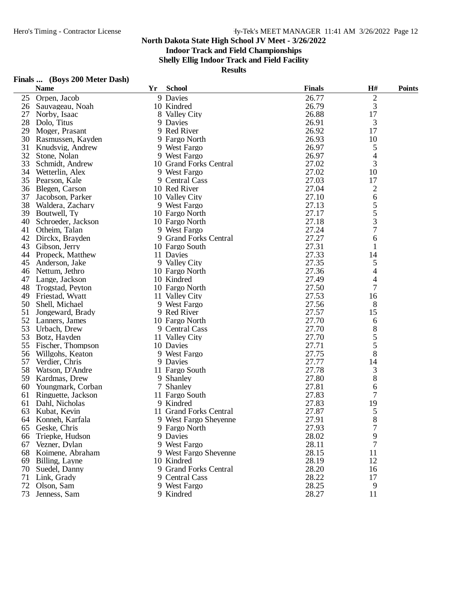### **Indoor Track and Field Championships**

**Shelly Ellig Indoor Track and Field Facility**

| Finals  (Boys 200 Meter Dash) |  |  |
|-------------------------------|--|--|
|                               |  |  |

|    | <b>Name</b>         | Yr | <b>School</b>          | <b>Finals</b> | H#                       | <b>Points</b> |
|----|---------------------|----|------------------------|---------------|--------------------------|---------------|
| 25 | Orpen, Jacob        |    | 9 Davies               | 26.77         | $\overline{c}$           |               |
|    | 26 Sauvageau, Noah  |    | 10 Kindred             | 26.79         | 3                        |               |
| 27 | Norby, Isaac        |    | 8 Valley City          | 26.88         | 17                       |               |
| 28 | Dolo, Titus         |    | 9 Davies               | 26.91         | 3                        |               |
| 29 | Moger, Prasant      |    | 9 Red River            | 26.92         | 17                       |               |
| 30 | Rasmussen, Kayden   |    | 9 Fargo North          | 26.93         | 10                       |               |
| 31 | Knudsvig, Andrew    |    | 9 West Fargo           | 26.97         | 5                        |               |
| 32 | Stone, Nolan        |    | 9 West Fargo           | 26.97         | 4                        |               |
| 33 | Schmidt, Andrew     |    | 10 Grand Forks Central | 27.02         | 3                        |               |
| 34 | Wetterlin, Alex     |    | 9 West Fargo           | 27.02         | 10                       |               |
| 35 | Pearson, Kale       |    | 9 Central Cass         | 27.03         | 17                       |               |
| 36 | Blegen, Carson      |    | 10 Red River           | 27.04         | $\mathfrak{2}$           |               |
| 37 | Jacobson, Parker    |    | 10 Valley City         | 27.10         | 6                        |               |
| 38 | Waldera, Zachary    |    | 9 West Fargo           | 27.13         | 5                        |               |
| 39 | Boutwell, Ty        |    | 10 Fargo North         | 27.17         | 5                        |               |
| 40 | Schroeder, Jackson  |    | 10 Fargo North         | 27.18         | 3                        |               |
| 41 | Otheim, Talan       |    | 9 West Fargo           | 27.24         | 7                        |               |
| 42 | Dirckx, Brayden     |    | 9 Grand Forks Central  | 27.27         | 6                        |               |
| 43 | Gibson, Jerry       |    | 10 Fargo South         | 27.31         | $\mathbf{1}$             |               |
| 44 |                     |    |                        | 27.33         |                          |               |
|    | Propeck, Matthew    |    | 11 Davies              |               | 14                       |               |
| 45 | Anderson, Jake      |    | 9 Valley City          | 27.35         | 5                        |               |
| 46 | Nettum, Jethro      |    | 10 Fargo North         | 27.36         | 4                        |               |
| 47 | Lange, Jackson      |    | 10 Kindred             | 27.49         | $\overline{\mathcal{L}}$ |               |
| 48 | Trogstad, Peyton    |    | 10 Fargo North         | 27.50         | 7                        |               |
| 49 | Friestad, Wyatt     |    | 11 Valley City         | 27.53         | 16                       |               |
| 50 | Shell, Michael      |    | 9 West Fargo           | 27.56         | 8                        |               |
| 51 | Jongeward, Brady    |    | 9 Red River            | 27.57         | 15                       |               |
| 52 | Lanners, James      |    | 10 Fargo North         | 27.70         | 6                        |               |
| 53 | Urbach, Drew        |    | 9 Central Cass         | 27.70         | 8                        |               |
| 53 | Botz, Hayden        |    | 11 Valley City         | 27.70         | 5                        |               |
| 55 | Fischer, Thompson   |    | 10 Davies              | 27.71         | 5                        |               |
| 56 | Willgohs, Keaton    |    | 9 West Fargo           | 27.75         | 8                        |               |
| 57 | Verdier, Chris      |    | 9 Davies               | 27.77         | 14                       |               |
| 58 | Watson, D'Andre     |    | 11 Fargo South         | 27.78         | 3                        |               |
| 59 | Kardmas, Drew       |    | 9 Shanley              | 27.80         | 8                        |               |
| 60 | Youngmark, Corban   |    | 7 Shanley              | 27.81         | 6                        |               |
| 61 | Ringuette, Jackson  |    | 11 Fargo South         | 27.83         | 7                        |               |
| 61 | Dahl, Nicholas      |    | 9 Kindred              | 27.83         | 19                       |               |
| 63 | Kubat, Kevin        |    | 11 Grand Forks Central | 27.87         | 5                        |               |
| 64 | Konneh, Karfala     |    | 9 West Fargo Sheyenne  | 27.91         | 8                        |               |
|    | 65 Geske, Chris     |    | 9 Fargo North          | 27.93         | 7                        |               |
| 66 | Triepke, Hudson     |    | 9 Davies               | 28.02         | 9                        |               |
|    | 67 Vezner, Dylan    |    | 9 West Fargo           | 28.11         | 7                        |               |
|    | 68 Koimene, Abraham |    | 9 West Fargo Sheyenne  | 28.15         | 11                       |               |
|    | 69 Billing, Layne   |    | 10 Kindred             | 28.19         | 12                       |               |
| 70 | Suedel, Danny       |    | 9 Grand Forks Central  | 28.20         | 16                       |               |
| 71 | Link, Grady         |    | 9 Central Cass         | 28.22         | 17                       |               |
| 72 | Olson, Sam          |    | 9 West Fargo           | 28.25         | 9                        |               |
| 73 | Jenness, Sam        |    | 9 Kindred              | 28.27         | 11                       |               |
|    |                     |    |                        |               |                          |               |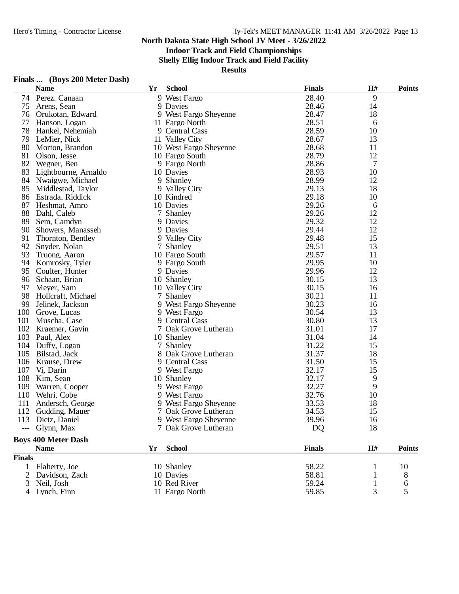**Indoor Track and Field Championships**

**Shelly Ellig Indoor Track and Field Facility**

| Finals |  | (Boys 200 Meter Dash) |  |
|--------|--|-----------------------|--|
|        |  |                       |  |

|                | <b>Name</b>                | Yr | <b>School</b>          | <b>Finals</b> | H#             | <b>Points</b>                         |
|----------------|----------------------------|----|------------------------|---------------|----------------|---------------------------------------|
| 74             | Perez, Canaan              |    | 9 West Fargo           | 28.40         | 9              |                                       |
| 75             | Arens, Sean                |    | 9 Davies               | 28.46         | 14             |                                       |
| 76             | Orukotan, Edward           |    | 9 West Fargo Sheyenne  | 28.47         | 18             |                                       |
| 77             | Hanson, Logan              |    | 11 Fargo North         | 28.51         | 6              |                                       |
| 78             | Hankel, Nehemiah           |    | 9 Central Cass         | 28.59         | 10             |                                       |
| 79             | LeMier, Nick               |    | 11 Valley City         | 28.67         | 13             |                                       |
| 80             | Morton, Brandon            |    | 10 West Fargo Sheyenne | 28.68         | 11             |                                       |
| 81             | Olson, Jesse               |    | 10 Fargo South         | 28.79         | 12             |                                       |
| 82             | Wegner, Ben                |    | 9 Fargo North          | 28.86         | $\overline{7}$ |                                       |
| 83             | Lightbourne, Arnaldo       |    | 10 Davies              | 28.93         | 10             |                                       |
| 84             | Nwaigwe, Michael           |    | 9 Shanley              | 28.99         | 12             |                                       |
| 85             | Middlestad, Taylor         |    | 9 Valley City          | 29.13         | 18             |                                       |
| 86             | Estrada, Riddick           |    | 10 Kindred             | 29.18         | 10             |                                       |
| 87             | Heshmat, Amro              |    | 10 Davies              | 29.26         | 6              |                                       |
| 88             | Dahl, Caleb                |    | 7 Shanley              | 29.26         | 12             |                                       |
| 89             | Sem, Camdyn                |    | 9 Davies               | 29.32         | 12             |                                       |
| 90             | Showers, Manasseh          |    | 9 Davies               | 29.44         | 12             |                                       |
| 91             | Thornton, Bentley          |    | 9 Valley City          | 29.48         | 15             |                                       |
| 92             | Snyder, Nolan              |    | 7 Shanley              | 29.51         | 13             |                                       |
| 93             | Truong, Aaron              |    | 10 Fargo South         | 29.57         | 11             |                                       |
| 94             | Komrosky, Tyler            |    | 9 Fargo South          | 29.95         | 10             |                                       |
| 95             | Coulter, Hunter            |    | 9 Davies               | 29.96         | 12             |                                       |
| 96             | Schaan, Brian              |    | 10 Shanley             | 30.15         | 13             |                                       |
| 97             | Meyer, Sam                 |    | 10 Valley City         | 30.15         | 16             |                                       |
| 98             | Hollcraft, Michael         |    | 7 Shanley              | 30.21         | 11             |                                       |
| 99             | Jelinek, Jackson           |    | 9 West Fargo Sheyenne  | 30.23         | 16             |                                       |
| 100            | Grove, Lucas               |    | 9 West Fargo           | 30.54         | 13             |                                       |
| 101            | Muscha, Case               |    | 9 Central Cass         | 30.80         | 13             |                                       |
|                | 102 Kraemer, Gavin         |    | 7 Oak Grove Lutheran   | 31.01         | 17             |                                       |
|                | 103 Paul, Alex             |    | 10 Shanley             | 31.04         | 14             |                                       |
| 104            | Duffy, Logan               |    | 7 Shanley              | 31.22         | 15             |                                       |
| 105            | Bilstad, Jack              |    | 8 Oak Grove Lutheran   | 31.37         | 18             |                                       |
| 106            | Krause, Drew               |    | 9 Central Cass         | 31.50         | 15             |                                       |
| 107            | Vi, Darin                  |    | 9 West Fargo           | 32.17         | 15             |                                       |
| 108            | Kim, Sean                  |    | 10 Shanley             | 32.17         | 9              |                                       |
| 109            | Warren, Cooper             |    | 9 West Fargo           | 32.27         | 9              |                                       |
| 110            | Wehri, Cobe                |    | 9 West Fargo           | 32.76         | 10             |                                       |
| 111            | Andersch, George           |    | 9 West Fargo Sheyenne  | 33.53         | 18             |                                       |
|                | 112 Gudding, Mauer         |    | 7 Oak Grove Lutheran   | 34.53         | 15             |                                       |
|                | 113 Dietz, Daniel          |    | 9 West Fargo Sheyenne  | 39.96         | 16             |                                       |
|                |                            |    |                        |               | 18             |                                       |
|                | --- Glynn, Max             |    | 7 Oak Grove Lutheran   | DQ            |                |                                       |
|                | <b>Boys 400 Meter Dash</b> |    |                        |               |                |                                       |
|                | <b>Name</b>                | Yr | <b>School</b>          | <b>Finals</b> | H#             | <b>Points</b>                         |
| <b>Finals</b>  |                            |    |                        |               |                |                                       |
| 1              | Flaherty, Joe              |    | 10 Shanley             | 58.22         | 1              | 10                                    |
| $\overline{2}$ | Davidson, Zach             |    | 10 Davies              | 58.81         | 1              | $\begin{array}{c} 8 \\ 6 \end{array}$ |
| 3              | Neil, Josh                 |    | 10 Red River           | 59.24         | $\mathbf{1}$   |                                       |
|                | 4 Lynch, Finn              |    | 11 Fargo North         | 59.85         | 3              | 5                                     |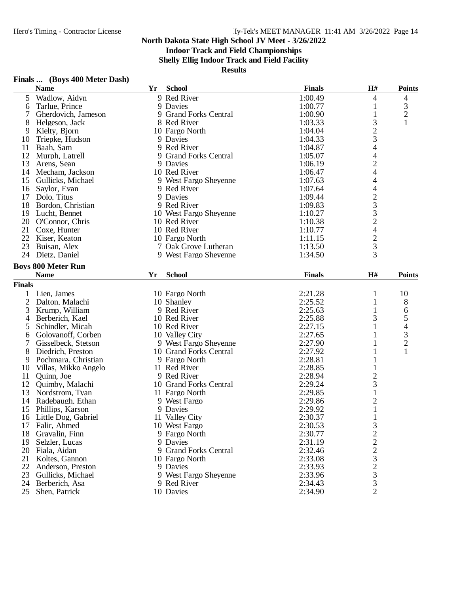### **Indoor Track and Field Championships**

**Shelly Ellig Indoor Track and Field Facility**

| Finals |  | (Boys 400 Meter Dash) |
|--------|--|-----------------------|
|--------|--|-----------------------|

|                | Finals  (Boys 400 Meter Dash) |    |                        |               |                          |                          |
|----------------|-------------------------------|----|------------------------|---------------|--------------------------|--------------------------|
|                | <b>Name</b>                   | Yr | <b>School</b>          | <b>Finals</b> | H#                       | <b>Points</b>            |
| 5              | Wadlow, Aidyn                 |    | 9 Red River            | 1:00.49       | 4                        | 4                        |
| 6              | Tarlue, Prince                |    | 9 Davies               | 1:00.77       | 1                        | 3                        |
| 7              | Gherdovich, Jameson           |    | 9 Grand Forks Central  | 1:00.90       | $\mathbf{1}$             | $\overline{c}$           |
| 8              | Helgeson, Jack                |    | 8 Red River            | 1:03.33       | 3                        | $\mathbf{1}$             |
| 9              | Kielty, Bjorn                 |    | 10 Fargo North         | 1:04.04       |                          |                          |
| 10             | Triepke, Hudson               |    | 9 Davies               | 1:04.33       | $\frac{2}{3}$            |                          |
| 11             | Baah, Sam                     |    | 9 Red River            | 1:04.87       |                          |                          |
| 12             | Murph, Latrell                |    | 9 Grand Forks Central  | 1:05.07       |                          |                          |
| 13             | Arens, Sean                   |    | 9 Davies               | 1:06.19       | $\frac{4}{2}$            |                          |
| 14             | Mecham, Jackson               |    | 10 Red River           | 1:06.47       | $\overline{\mathcal{A}}$ |                          |
| 15             | Gullicks, Michael             |    | 9 West Fargo Sheyenne  | 1:07.63       | 4                        |                          |
| 16             | Saylor, Evan                  |    | 9 Red River            | 1:07.64       | $\overline{\mathcal{L}}$ |                          |
|                | 17 Dolo, Titus                |    | 9 Davies               | 1:09.44       |                          |                          |
| 18             | Bordon, Christian             |    | 9 Red River            | 1:09.83       | 2332423                  |                          |
| 19             | Lucht, Bennet                 |    | 10 West Fargo Sheyenne | 1:10.27       |                          |                          |
|                | 20 O'Connor, Chris            |    | 10 Red River           | 1:10.38       |                          |                          |
| 21             | Coxe, Hunter                  |    | 10 Red River           | 1:10.77       |                          |                          |
|                | 22 Kiser, Keaton              |    | 10 Fargo North         | 1:11.15       |                          |                          |
| 23             | Buisan, Alex                  |    | 7 Oak Grove Lutheran   | 1:13.50       |                          |                          |
| 24             |                               |    |                        |               | $\overline{3}$           |                          |
|                | Dietz, Daniel                 |    | 9 West Fargo Sheyenne  | 1:34.50       |                          |                          |
|                | <b>Boys 800 Meter Run</b>     |    |                        |               |                          |                          |
|                | <b>Name</b>                   | Yr | <b>School</b>          | <b>Finals</b> | H#                       | <b>Points</b>            |
| <b>Finals</b>  |                               |    |                        |               |                          |                          |
| 1              | Lien, James                   |    | 10 Fargo North         | 2:21.28       | 1                        | 10                       |
| $\overline{2}$ | Dalton, Malachi               |    | 10 Shanley             | 2:25.52       | $\mathbf{1}$             | 8                        |
| 3              | Krump, William                |    | 9 Red River            | 2:25.63       | 1                        | 6                        |
| 4              | Berberich, Kael               |    | 10 Red River           | 2:25.88       | 3                        | 5                        |
| 5              | Schindler, Micah              |    | 10 Red River           | 2:27.15       | 1                        | $\overline{\mathcal{A}}$ |
| 6              | Golovanoff, Corben            |    | 10 Valley City         | 2:27.65       | 1                        |                          |
| 7              | Gisselbeck, Stetson           |    | 9 West Fargo Sheyenne  | 2:27.90       | 1                        | $\frac{3}{2}$            |
| 8              | Diedrich, Preston             |    | 10 Grand Forks Central | 2:27.92       | 1                        | $\mathbf{1}$             |
| 9              | Pochmara, Christian           |    | 9 Fargo North          | 2:28.81       |                          |                          |
| 10             | Villas, Mikko Angelo          |    | 11 Red River           | 2:28.85       | 1                        |                          |
| 11             | Quinn, Joe                    |    | 9 Red River            | 2:28.94       | $\overline{c}$           |                          |
| 12             | Quimby, Malachi               |    | 10 Grand Forks Central | 2:29.24       | 3                        |                          |
| 13             | Nordstrom, Tyan               |    | 11 Fargo North         | 2:29.85       | $\mathbf 1$              |                          |
| 14             | Radebaugh, Ethan              |    | 9 West Fargo           | 2:29.86       | $\overline{\mathbf{c}}$  |                          |
|                | 15 Phillips, Karson           |    | 9 Davies               | 2:29.92       | $\mathbf{1}$             |                          |
|                | 16 Little Dog, Gabriel        |    | 11 Valley City         | 2:30.37       |                          |                          |
| 17             | Falir, Ahmed                  |    | 10 West Fargo          | 2:30.53       |                          |                          |
| 18             | Gravalin, Finn                |    | 9 Fargo North          | 2:30.77       |                          |                          |
| 19             | Selzler, Lucas                |    | 9 Davies               | 2:31.19       |                          |                          |
|                |                               |    |                        |               |                          |                          |
|                | 20 Fiala, Aidan               |    | 9 Grand Forks Central  | 2:32.46       |                          |                          |
| 21             | Koltes, Gannon                |    | 10 Fargo North         | 2:33.08       | 3222323                  |                          |
| 22             | Anderson, Preston             |    | 9 Davies               | 2:33.93       |                          |                          |
| 23             | Gullicks, Michael             |    | 9 West Fargo Sheyenne  | 2:33.96       |                          |                          |
| 24             | Berberich, Asa                |    | 9 Red River            | 2:34.43       |                          |                          |
| 25             | Shen, Patrick                 |    | 10 Davies              | 2:34.90       | $\overline{2}$           |                          |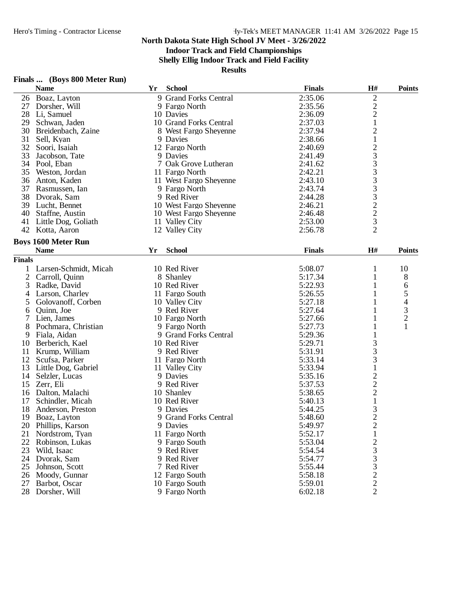### **Indoor Track and Field Championships**

**Shelly Ellig Indoor Track and Field Facility**

| <b>Finals</b> | (Boys 800 Meter Run) |  |
|---------------|----------------------|--|
|---------------|----------------------|--|

|                | <b>Name</b>                | Yr | <b>School</b>          | <b>Finals</b> | H#                                              | <b>Points</b>            |
|----------------|----------------------------|----|------------------------|---------------|-------------------------------------------------|--------------------------|
|                | 26 Boaz, Layton            |    | 9 Grand Forks Central  | 2:35.06       | $\overline{\mathbf{c}}$                         |                          |
| 27             | Dorsher, Will              |    | 9 Fargo North          | 2:35.56       |                                                 |                          |
|                | 28 Li, Samuel              |    | 10 Davies              | 2:36.09       | $\frac{2}{2}$                                   |                          |
| 29             | Schwan, Jaden              |    | 10 Grand Forks Central | 2:37.03       | $\mathbf{1}$                                    |                          |
| 30             | Breidenbach, Zaine         |    | 8 West Fargo Sheyenne  | 2:37.94       | $\overline{c}$                                  |                          |
| 31             | Sell, Kyan                 |    | 9 Davies               | 2:38.66       | $\mathbf{1}$                                    |                          |
| 32             | Soori, Isaiah              |    | 12 Fargo North         | 2:40.69       |                                                 |                          |
| 33             | Jacobson, Tate             |    | 9 Davies               | 2:41.49       | 233333223                                       |                          |
|                | 34 Pool, Eban              |    | 7 Oak Grove Lutheran   | 2:41.62       |                                                 |                          |
| 35             | Weston, Jordan             |    | 11 Fargo North         | 2:42.21       |                                                 |                          |
| 36             | Anton, Kaden               |    | 11 West Fargo Sheyenne | 2:43.10       |                                                 |                          |
| 37             | Rasmussen, Ian             |    | 9 Fargo North          | 2:43.74       |                                                 |                          |
| 38             | Dvorak, Sam                |    | 9 Red River            | 2:44.28       |                                                 |                          |
|                | 39 Lucht, Bennet           |    | 10 West Fargo Sheyenne | 2:46.21       |                                                 |                          |
|                | 40 Staffne, Austin         |    | 10 West Fargo Sheyenne | 2:46.48       |                                                 |                          |
| 41             | Little Dog, Goliath        |    | 11 Valley City         | 2:53.00       |                                                 |                          |
|                | 42 Kotta, Aaron            |    | 12 Valley City         | 2:56.78       | $\overline{2}$                                  |                          |
|                |                            |    |                        |               |                                                 |                          |
|                | <b>Boys 1600 Meter Run</b> |    |                        |               |                                                 |                          |
|                | <b>Name</b>                | Yr | <b>School</b>          | <b>Finals</b> | H#                                              | <b>Points</b>            |
| <b>Finals</b>  |                            |    |                        |               |                                                 |                          |
| 1              | Larsen-Schmidt, Micah      |    | 10 Red River           | 5:08.07       | 1                                               | 10                       |
| $\overline{2}$ | Carroll, Quinn             |    | 8 Shanley              | 5:17.34       | 1                                               | 8                        |
| 3              | Radke, David               |    | 10 Red River           | 5:22.93       | 1                                               | 6                        |
| 4              | Larson, Charley            |    | 11 Fargo South         | 5:26.55       | 1                                               | 5                        |
| 5              | Golovanoff, Corben         |    | 10 Valley City         | 5:27.18       | 1                                               | $\overline{\mathcal{A}}$ |
| 6              | Quinn, Joe                 |    | 9 Red River            | 5:27.64       | 1                                               | 3                        |
| 7              | Lien, James                |    | 10 Fargo North         | 5:27.66       | 1                                               | $\overline{c}$           |
| 8              | Pochmara, Christian        |    | 9 Fargo North          | 5:27.73       | 1                                               |                          |
| 9              | Fiala, Aidan               |    | 9 Grand Forks Central  | 5:29.36       | 1                                               |                          |
| 10             | Berberich, Kael            |    | 10 Red River           | 5:29.71       |                                                 |                          |
| 11             | Krump, William             |    | 9 Red River            | 5:31.91       | $\frac{3}{3}$                                   |                          |
| 12             | Scufsa, Parker             |    | 11 Fargo North         | 5:33.14       | 3                                               |                          |
| 13             | Little Dog, Gabriel        |    | 11 Valley City         | 5:33.94       | $\mathbf{1}$                                    |                          |
| 14             | Selzler, Lucas             |    | 9 Davies               | 5:35.16       |                                                 |                          |
| 15             | Zerr, Eli                  |    | 9 Red River            | 5:37.53       |                                                 |                          |
| 16             | Dalton, Malachi            |    | 10 Shanley             | 5:38.65       |                                                 |                          |
| 17             | Schindler, Micah           |    | 10 Red River           | 5:40.13       | $\begin{array}{c} 2 \\ 2 \\ 2 \\ 1 \end{array}$ |                          |
| 18             | Anderson, Preston          |    | 9 Davies               | 5:44.25       | 3                                               |                          |
| 19             |                            |    |                        | 5:48.60       | $\overline{2}$                                  |                          |
|                | Boaz, Layton               |    | 9 Grand Forks Central  |               |                                                 |                          |
| 20             | Phillips, Karson           |    | 9 Davies               | 5:49.97       | $\frac{2}{1}$                                   |                          |
| 21             | Nordstrom, Tyan            |    | 11 Fargo North         | 5:52.17       |                                                 |                          |
| 22             | Robinson, Lukas            |    | 9 Fargo South          | 5:53.04       |                                                 |                          |
| 23             | Wild, Isaac                |    | 9 Red River            | 5:54.54       |                                                 |                          |
| 24             | Dvorak, Sam                |    | 9 Red River            | 5:54.77       | $2333$<br>$322$<br>$22$                         |                          |
| 25             | Johnson, Scott             |    | 7 Red River            | 5:55.44       |                                                 |                          |
| 26             | Moody, Gunnar              |    | 12 Fargo South         | 5:58.18       |                                                 |                          |
| 27             | Barbot, Oscar              |    | 10 Fargo South         | 5:59.01       |                                                 |                          |
| 28             | Dorsher, Will              |    | 9 Fargo North          | 6:02.18       |                                                 |                          |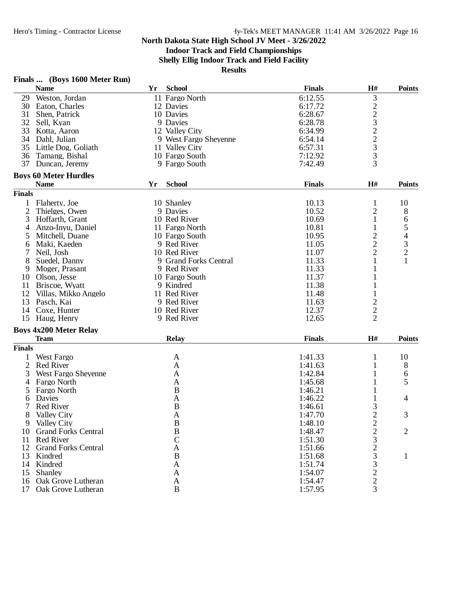### **Indoor Track and Field Championships**

**Shelly Ellig Indoor Track and Field Facility**

| Finals |  |  | (Boys 1600 Meter Run) |  |
|--------|--|--|-----------------------|--|
|--------|--|--|-----------------------|--|

|                | <b>Name</b>                   | Yr | <b>School</b>         | <b>Finals</b> | H#                             | <b>Points</b>  |
|----------------|-------------------------------|----|-----------------------|---------------|--------------------------------|----------------|
| 29             | Weston, Jordan                |    | 11 Fargo North        | 6:12.55       | 3                              |                |
| 30             | Eaton, Charles                |    | 12 Davies             | 6:17.72       |                                |                |
| 31             | Shen, Patrick                 |    | 10 Davies             | 6:28.67       | 22322333                       |                |
| 32             | Sell, Kyan                    |    | 9 Davies              | 6:28.78       |                                |                |
| 33             | Kotta, Aaron                  |    | 12 Valley City        | 6:34.99       |                                |                |
| 34             | Dahl, Julian                  |    | 9 West Fargo Sheyenne | 6:54.14       |                                |                |
| 35             | Little Dog, Goliath           |    | 11 Valley City        | 6:57.31       |                                |                |
| 36             | Tamang, Bishal                |    | 10 Fargo South        | 7:12.92       |                                |                |
| 37             | Duncan, Jeremy                |    | 9 Fargo South         | 7:42.49       |                                |                |
|                |                               |    |                       |               |                                |                |
|                | <b>Boys 60 Meter Hurdles</b>  |    |                       |               |                                |                |
|                | <b>Name</b>                   | Yr | <b>School</b>         | <b>Finals</b> | H#                             | <b>Points</b>  |
| <b>Finals</b>  |                               |    |                       |               |                                |                |
|                | Flaherty, Joe                 |    | 10 Shanley            | 10.13         | $\mathbf{1}$                   | 10             |
| 2              | Thielges, Owen                |    | 9 Davies              | 10.52         | $\mathbf{2}$                   | 8              |
| 3              | Hoffarth, Grant               |    | 10 Red River          | 10.69         | $\mathbf{1}$                   | 6              |
| $\overline{4}$ | Anzo-Inyu, Daniel             |    | 11 Fargo North        | 10.81         | 1                              | 5              |
| 5              | Mitchell, Duane               |    | 10 Fargo South        | 10.95         | $\overline{c}$                 | 4              |
| 6              | Maki, Kaeden                  |    | 9 Red River           | 11.05         | $\overline{c}$                 | $\mathfrak{Z}$ |
|                | Neil, Josh                    |    | 10 Red River          | 11.07         | $\overline{c}$                 | $\overline{c}$ |
| 8              | Suedel, Danny                 |    | 9 Grand Forks Central | 11.33         | $\mathbf{1}$                   | $\mathbf{1}$   |
| 9              | Moger, Prasant                |    | 9 Red River           | 11.33         | $\mathbf{1}$                   |                |
| 10             | Olson, Jesse                  |    | 10 Fargo South        | 11.37         | 1                              |                |
| 11             | Briscoe, Wyatt                |    | 9 Kindred             | 11.38         |                                |                |
| 12             | Villas, Mikko Angelo          |    | 11 Red River          | 11.48         | 1                              |                |
| 13             | Pasch, Kai                    |    | 9 Red River           | 11.63         |                                |                |
| 14             | Coxe, Hunter                  |    | 10 Red River          | 12.37         | $\frac{2}{2}$                  |                |
| 15             | Haug, Henry                   |    | 9 Red River           | 12.65         | $\overline{2}$                 |                |
|                |                               |    |                       |               |                                |                |
|                | <b>Boys 4x200 Meter Relay</b> |    |                       |               |                                |                |
|                | <b>Team</b>                   |    | <b>Relay</b>          | <b>Finals</b> | $\mathbf{H}$ #                 | <b>Points</b>  |
| <b>Finals</b>  |                               |    |                       |               |                                |                |
| 1              | West Fargo                    |    | A                     | 1:41.33       | 1                              | 10             |
| $\overline{2}$ | <b>Red River</b>              |    | A                     | 1:41.63       | 1                              | 8              |
| 3              | West Fargo Sheyenne           |    | A                     | 1:42.84       | $\mathbf{1}$                   | 6              |
| $\overline{4}$ | Fargo North                   |    | A                     | 1:45.68       | $\mathbf{1}$                   | 5              |
| 5              | Fargo North                   |    | B                     | 1:46.21       | 1                              |                |
| 6              | Davies                        |    | A                     | 1:46.22       |                                | 4              |
|                | <b>Red River</b>              |    | B                     | 1:46.61       | 3                              |                |
| 8              | Valley City                   |    | A                     | 1:47.70       | $\overline{2}$                 | 3              |
|                | 9 Valley City                 |    | $\, {\bf B}$          | 1:48.10       | $\overline{c}$                 |                |
| 10             | <b>Grand Forks Central</b>    |    | $\, {\bf B}$          | 1:48.47       |                                | $\overline{2}$ |
| 11             | <b>Red River</b>              |    | $\overline{\rm C}$    | 1:51.30       |                                |                |
|                | 12 Grand Forks Central        |    | A                     | 1:51.66       |                                |                |
| 13             | Kindred                       |    | B                     | 1:51.68       | $\frac{2}{3}$<br>$\frac{2}{3}$ | 1              |
|                | 14 Kindred                    |    | $\mathbf{A}$          | 1:51.74       |                                |                |
| 15             | Shanley                       |    | $\mathbf{A}$          | 1:54.07       | $\frac{3}{2}$                  |                |
|                | 16 Oak Grove Lutheran         |    | A                     | 1:54.47       | $\overline{c}$                 |                |
| 17             |                               |    | $\, {\bf B}$          | 1:57.95       | 3                              |                |
|                | Oak Grove Lutheran            |    |                       |               |                                |                |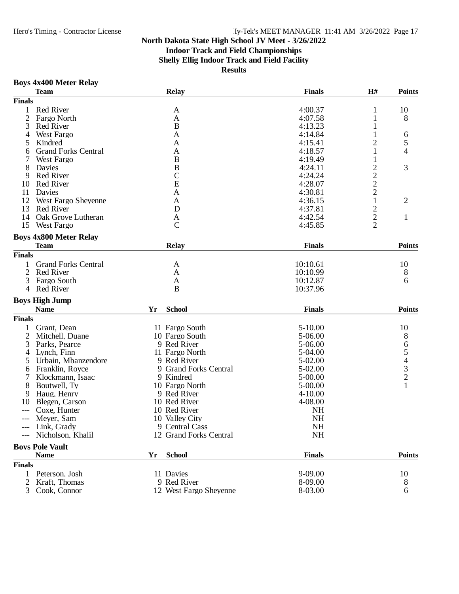### Hero's Timing - Contractor License Hy-Tek's MEET MANAGER 11:41 AM 3/26/2022 Page 17

### **North Dakota State High School JV Meet - 3/26/2022**

### **Indoor Track and Field Championships**

**Shelly Ellig Indoor Track and Field Facility**

**Results**

#### **Boys 4x400 Meter Relay**

|                | <b>Team</b>                   |    | <b>Relay</b>                | <b>Finals</b> | H#                      | <b>Points</b>  |
|----------------|-------------------------------|----|-----------------------------|---------------|-------------------------|----------------|
| <b>Finals</b>  |                               |    |                             |               |                         |                |
| 1              | <b>Red River</b>              |    | A                           | 4:00.37       | $\mathbf{1}$            | 10             |
| $\overline{2}$ | Fargo North                   |    | A                           | 4:07.58       | 1                       | 8              |
| 3              | <b>Red River</b>              |    | B                           | 4:13.23       | 1                       |                |
| 4              | West Fargo                    |    | A                           | 4:14.84       | 1                       | 6              |
| 5              | Kindred                       |    | A                           | 4:15.41       | $\overline{c}$          | 5              |
| 6              | <b>Grand Forks Central</b>    |    | A                           | 4:18.57       | 1                       | 4              |
|                | West Fargo                    |    | $\bf{B}$                    | 4:19.49       | $\mathbf{1}$            |                |
| 8              | Davies                        |    | $\bf{B}$                    | 4:24.11       | $\overline{\mathbf{c}}$ | 3              |
| 9              | <b>Red River</b>              |    |                             | 4:24.24       |                         |                |
| 10             | <b>Red River</b>              |    | $\frac{\text{C}}{\text{E}}$ | 4:28.07       | $\frac{2}{2}$           |                |
| 11             | Davies                        |    | $\mathbf{A}$                | 4:30.81       | $\overline{c}$          |                |
| 12             | West Fargo Sheyenne           |    | A                           | 4:36.15       | $\mathbf 1$             | $\overline{2}$ |
| 13             | <b>Red River</b>              |    | D                           | 4:37.81       | $\overline{c}$          |                |
| 14             | Oak Grove Lutheran            |    | A                           | 4:42.54       |                         | $\mathbf{1}$   |
| 15             | West Fargo                    |    | $\mathcal{C}$               | 4:45.85       | $\frac{2}{2}$           |                |
|                |                               |    |                             |               |                         |                |
|                | <b>Boys 4x800 Meter Relay</b> |    |                             |               |                         |                |
|                | <b>Team</b>                   |    | Relay                       | <b>Finals</b> |                         | <b>Points</b>  |
| <b>Finals</b>  |                               |    |                             |               |                         |                |
|                | <b>Grand Forks Central</b>    |    | A                           | 10:10.61      |                         | 10             |
| 2              | <b>Red River</b>              |    | $\mathbf{A}$                | 10:10.99      |                         | 8              |
| 3              | Fargo South                   |    | A                           | 10:12.87      |                         | 6              |
| 4              | <b>Red River</b>              |    | B                           | 10:37.96      |                         |                |
|                |                               |    |                             |               |                         |                |
|                | <b>Boys High Jump</b>         |    |                             |               |                         |                |
|                | <b>Name</b>                   | Yr | <b>School</b>               | <b>Finals</b> |                         | <b>Points</b>  |
| <b>Finals</b>  |                               |    |                             |               |                         |                |
|                | Grant, Dean                   |    | 11 Fargo South              | $5-10.00$     |                         | 10             |
| 2              | Mitchell, Duane               |    | 10 Fargo South              | 5-06.00       |                         | 8              |
| 3              | Parks, Pearce                 |    | 9 Red River                 | 5-06.00       |                         |                |
| 4              | Lynch, Finn                   |    | 11 Fargo North              | 5-04.00       |                         | 65432          |
| 5              | Urbain, Mbanzendore           |    | 9 Red River                 | 5-02.00       |                         |                |
| 6              | Franklin, Royce               |    | 9 Grand Forks Central       | 5-02.00       |                         |                |
|                | Klockmann, Isaac              |    | 9 Kindred                   | 5-00.00       |                         |                |
| 8              | Boutwell, Ty                  |    | 10 Fargo North              | 5-00.00       |                         | $\mathbf{1}$   |
| 9              | Haug, Henry                   |    | 9 Red River                 | $4 - 10.00$   |                         |                |
| 10             | Blegen, Carson                |    | 10 Red River                | 4-08.00       |                         |                |
|                | Coxe, Hunter                  |    | 10 Red River                | <b>NH</b>     |                         |                |
| $---$          | Meyer, Sam                    |    | 10 Valley City              | <b>NH</b>     |                         |                |
|                | --- Link, Grady               |    | 9 Central Cass              | NH            |                         |                |
|                | --- Nicholson, Khalil         |    | 12 Grand Forks Central      | NH            |                         |                |
|                | <b>Boys Pole Vault</b>        |    |                             |               |                         |                |
|                |                               |    |                             |               |                         | <b>Points</b>  |
|                | <b>Name</b>                   | Yr | <b>School</b>               | <b>Finals</b> |                         |                |
| <b>Finals</b>  |                               |    |                             |               |                         |                |
|                | 1 Peterson, Josh              |    | 11 Davies                   | 9-09.00       |                         | 10             |
| $\overline{2}$ | Kraft, Thomas                 |    | 9 Red River                 | 8-09.00       |                         | 8              |
| 3              | Cook, Connor                  |    | 12 West Fargo Sheyenne      | 8-03.00       |                         | 6              |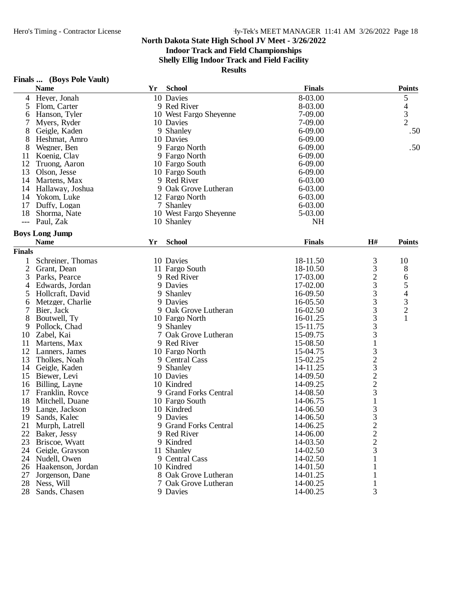### **Indoor Track and Field Championships**

**Shelly Ellig Indoor Track and Field Facility**

|                | <b>Name</b>           | Yr | <b>School</b>          | <b>Finals</b> |                                            | <b>Points</b>                                   |
|----------------|-----------------------|----|------------------------|---------------|--------------------------------------------|-------------------------------------------------|
| 4              | Heyer, Jonah          |    | 10 Davies              | 8-03.00       |                                            | 5                                               |
| 5              | Flom, Carter          |    | 9 Red River            | 8-03.00       |                                            |                                                 |
| 6              | Hanson, Tyler         |    | 10 West Fargo Sheyenne | 7-09.00       |                                            | $\frac{4}{3}$                                   |
|                | Myers, Ryder          |    | 10 Davies              | 7-09.00       |                                            |                                                 |
| 8              | Geigle, Kaden         |    | 9 Shanley              | $6 - 09.00$   |                                            | .50                                             |
| 8              | Heshmat, Amro         |    | 10 Davies              | 6-09.00       |                                            |                                                 |
| 8              | Wegner, Ben           |    | 9 Fargo North          | $6 - 09.00$   |                                            | .50                                             |
| 11             | Koenig, Clay          |    | 9 Fargo North          | 6-09.00       |                                            |                                                 |
| 12             | Truong, Aaron         |    | 10 Fargo South         | 6-09.00       |                                            |                                                 |
| 13             | Olson, Jesse          |    | 10 Fargo South         | 6-09.00       |                                            |                                                 |
| 14             | Martens, Max          |    | 9 Red River            | 6-03.00       |                                            |                                                 |
| 14             | Hallaway, Joshua      |    | 9 Oak Grove Lutheran   | 6-03.00       |                                            |                                                 |
| 14             | Yokom, Luke           |    | 12 Fargo North         | 6-03.00       |                                            |                                                 |
| 17             | Duffy, Logan          |    | 7 Shanley              | 6-03.00       |                                            |                                                 |
| 18             | Shorma, Nate          |    | 10 West Fargo Sheyenne | 5-03.00       |                                            |                                                 |
| $---$          | Paul, Zak             |    | 10 Shanley             | <b>NH</b>     |                                            |                                                 |
|                |                       |    |                        |               |                                            |                                                 |
|                | <b>Boys Long Jump</b> |    |                        |               |                                            |                                                 |
|                | <b>Name</b>           | Yr | <b>School</b>          | <b>Finals</b> | H#                                         | <b>Points</b>                                   |
| <b>Finals</b>  |                       |    |                        |               |                                            |                                                 |
| 1              | Schreiner, Thomas     |    | 10 Davies              | 18-11.50      | 3                                          | 10                                              |
| $\overline{2}$ | Grant, Dean           |    | 11 Fargo South         | 18-10.50      | $\mathfrak{Z}$                             | 8                                               |
| 3              | Parks, Pearce         |    | 9 Red River            | 17-03.00      |                                            | 6                                               |
| 4              | Edwards, Jordan       |    | 9 Davies               | 17-02.00      | $\frac{2}{3}$                              |                                                 |
| 5              | Hollcraft, David      |    | 9 Shanley              | 16-09.50      |                                            | $\begin{array}{c} 5 \\ 4 \\ 3 \\ 2 \end{array}$ |
| 6              | Metzger, Charlie      |    | 9 Davies               | 16-05.50      | 3                                          |                                                 |
| 7              | Bier, Jack            |    | 9 Oak Grove Lutheran   | 16-02.50      | 3                                          |                                                 |
| 8              | Boutwell, Ty          |    | 10 Fargo North         | 16-01.25      | 3                                          | $\mathbf{1}$                                    |
| 9              | Pollock, Chad         |    | 9 Shanley              | 15-11.75      |                                            |                                                 |
| 10             | Zabel, Kai            |    | 7 Oak Grove Lutheran   | 15-09.75      | $\frac{3}{3}$                              |                                                 |
| 11             | Martens, Max          |    | 9 Red River            | 15-08.50      |                                            |                                                 |
| 12             | Lanners, James        |    | 10 Fargo North         | 15-04.75      |                                            |                                                 |
| 13             | Tholkes, Noah         |    | 9 Central Cass         | 15-02.25      | 323223                                     |                                                 |
|                | 14 Geigle, Kaden      |    | 9 Shanley              | 14-11.25      |                                            |                                                 |
| 15             | Biewer, Levi          |    | 10 Davies              | 14-09.50      |                                            |                                                 |
| 16             | Billing, Layne        |    | 10 Kindred             | 14-09.25      |                                            |                                                 |
| 17             | Franklin, Royce       |    | 9 Grand Forks Central  | 14-08.50      |                                            |                                                 |
| 18             | Mitchell, Duane       |    | 10 Fargo South         | 14-06.75      | $\,1$                                      |                                                 |
| 19             | Lange, Jackson        |    | 10 Kindred             | 14-06.50      | 3                                          |                                                 |
| 19             | Sands, Kalec          |    | 9 Davies               | 14-06.50      | 3                                          |                                                 |
| 21             | Murph, Latrell        |    | 9 Grand Forks Central  | 14-06.25      |                                            |                                                 |
| 22             |                       |    |                        |               | $\begin{array}{c} 2 \\ 2 \\ 3 \end{array}$ |                                                 |
|                | Baker, Jessy          |    | 9 Red River            | 14-06.00      |                                            |                                                 |
| 23             | Briscoe, Wyatt        |    | 9 Kindred              | 14-03.50      |                                            |                                                 |
| 24             | Geigle, Grayson       |    | 11 Shanley             | 14-02.50      |                                            |                                                 |
|                | 24 Nudell, Owen       |    | 9 Central Cass         | 14-02.50      | 1                                          |                                                 |
|                | 26 Haakenson, Jordan  |    | 10 Kindred             | 14-01.50      | 1                                          |                                                 |
| 27             | Jorgenson, Dane       |    | 8 Oak Grove Lutheran   | 14-01.25      | 1                                          |                                                 |
| 28             | Ness, Will            |    | 7 Oak Grove Lutheran   | 14-00.25      | 1                                          |                                                 |
| 28             | Sands, Chasen         |    | 9 Davies               | 14-00.25      | 3                                          |                                                 |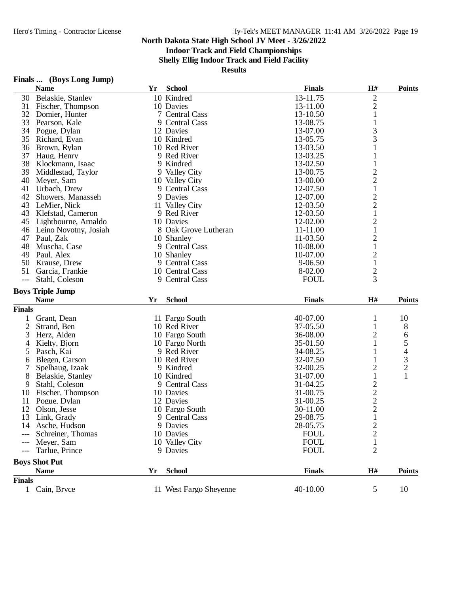**Indoor Track and Field Championships**

**Shelly Ellig Indoor Track and Field Facility**

| Finals | (Boys Long Jump) |  |  |
|--------|------------------|--|--|
|--------|------------------|--|--|

|                | Finals  (Doys Long Jump) |    |                             |               |                         |                |
|----------------|--------------------------|----|-----------------------------|---------------|-------------------------|----------------|
|                | <b>Name</b>              | Yr | <b>School</b>               | <b>Finals</b> | H#                      | <b>Points</b>  |
|                | 30 Belaskie, Stanley     |    | 10 Kindred                  | 13-11.75      | $\sqrt{2}$              |                |
| 31             | Fischer, Thompson        |    | 10 Davies                   | 13-11.00      | $\overline{c}$          |                |
|                | 32 Domier, Hunter        |    | 7 Central Cass              | 13-10.50      | $\mathbf{1}$            |                |
| 33             | Pearson, Kale            |    | 9 Central Cass              | 13-08.75      | 1                       |                |
|                | 34 Pogue, Dylan          |    | 12 Davies                   | 13-07.00      | 3                       |                |
| 35             | Richard, Evan            |    | 10 Kindred                  | 13-05.75      | 3                       |                |
| 36             | Brown, Rylan             |    | 10 Red River                | 13-03.50      | 1                       |                |
| 37             | Haug, Henry              |    | 9 Red River                 | 13-03.25      | 1                       |                |
| 38             | Klockmann, Isaac         |    | 9 Kindred                   | 13-02.50      | 1                       |                |
| 39             | Middlestad, Taylor       |    | 9 Valley City               | 13-00.75      | $\overline{\mathbf{c}}$ |                |
| 40             | Meyer, Sam               |    | 10 Valley City              | 13-00.00      | $\overline{2}$          |                |
| 41             | Urbach, Drew             |    | 9 Central Cass              | 12-07.50      | $\mathbf{1}$            |                |
| 42             | Showers, Manasseh        |    | 9 Davies                    | 12-07.00      | $\overline{c}$          |                |
|                | 43 LeMier, Nick          |    | 11 Valley City              | 12-03.50      | $\overline{c}$          |                |
|                | 43 Klefstad, Cameron     |    | 9 Red River                 | 12-03.50      | $\mathbf{1}$            |                |
| 45             | Lightbourne, Arnaldo     |    | 10 Davies                   | 12-02.00      | $\overline{c}$          |                |
|                |                          |    |                             | 11-11.00      |                         |                |
|                | 46 Leino Novotny, Josiah |    | 8 Oak Grove Lutheran        |               | 1                       |                |
| 47             | Paul, Zak                |    | 10 Shanley                  | 11-03.50      | $\overline{c}$          |                |
| 48             | Muscha, Case             |    | 9 Central Cass              | 10-08.00      | $\mathbf{1}$            |                |
| 49             | Paul, Alex               |    | 10 Shanley                  | 10-07.00      | $\overline{c}$          |                |
| 50             | Krause, Drew             |    | 9 Central Cass              | 9-06.50       | $\mathbf{1}$            |                |
| 51             | Garcia, Frankie          |    | 10 Central Cass             | 8-02.00       | $\overline{c}$          |                |
| $---$          | Stahl, Coleson           |    | 9 Central Cass              | <b>FOUL</b>   | 3                       |                |
|                | <b>Boys Triple Jump</b>  |    |                             |               |                         |                |
|                | <b>Name</b>              | Yr | <b>School</b>               | <b>Finals</b> | H#                      | <b>Points</b>  |
| <b>Finals</b>  |                          |    |                             |               |                         |                |
| 1              | Grant, Dean              |    | 11 Fargo South              | 40-07.00      | $\mathbf{1}$            | 10             |
| $\overline{c}$ | Strand, Ben              |    | 10 Red River                | 37-05.50      | 1                       | 8              |
| 3              | Herz, Aiden              |    | 10 Fargo South              | 36-08.00      | 2                       | 6              |
| 4              | Kielty, Bjorn            |    | 10 Fargo North              | 35-01.50      | 1                       | 5              |
| 5              | Pasch, Kai               |    | 9 Red River                 | 34-08.25      | 1                       | $\overline{4}$ |
| 6              | Blegen, Carson           |    | 10 Red River                | 32-07.50      | 1                       |                |
| 7              | Spelhaug, Izaak          |    | 9 Kindred                   | 32-00.25      | $\overline{c}$          | $\frac{3}{2}$  |
| 8              | Belaskie, Stanley        |    | 10 Kindred                  | 31-07.00      | $\mathbf{1}$            | $\mathbf{1}$   |
| 9              | Stahl, Coleson           |    | 9 Central Cass              | 31-04.25      |                         |                |
| 10             | Fischer, Thompson        |    | 10 Davies                   | 31-00.75      |                         |                |
|                | Pogue, Dylan             |    |                             |               | $\frac{2}{2}$           |                |
| 11<br>12       |                          |    | 12 Davies<br>10 Fargo South | 31-00.25      | $\overline{2}$          |                |
|                | Olson, Jesse             |    | 9 Central Cass              | 30-11.00      |                         |                |
|                | 13 Link, Grady           |    |                             | 29-08.75      | $\mathbf{1}$            |                |
|                | 14 Asche, Hudson         |    | 9 Davies                    | 28-05.75      | $\overline{c}$          |                |
|                | Schreiner, Thomas        |    | 10 Davies                   | <b>FOUL</b>   | $\overline{c}$          |                |
| ---            | Meyer, Sam               |    | 10 Valley City              | <b>FOUL</b>   | $\mathbf{1}$            |                |
| $---$          | Tarlue, Prince           |    | 9 Davies                    | <b>FOUL</b>   | $\overline{2}$          |                |
|                | <b>Boys Shot Put</b>     |    |                             |               |                         |                |
|                | <b>Name</b>              | Yr | <b>School</b>               | <b>Finals</b> | H#                      | <b>Points</b>  |
| <b>Finals</b>  |                          |    |                             |               |                         |                |
| $\mathbf{1}$   | Cain, Bryce              |    | 11 West Fargo Sheyenne      | 40-10.00      | 5                       | 10             |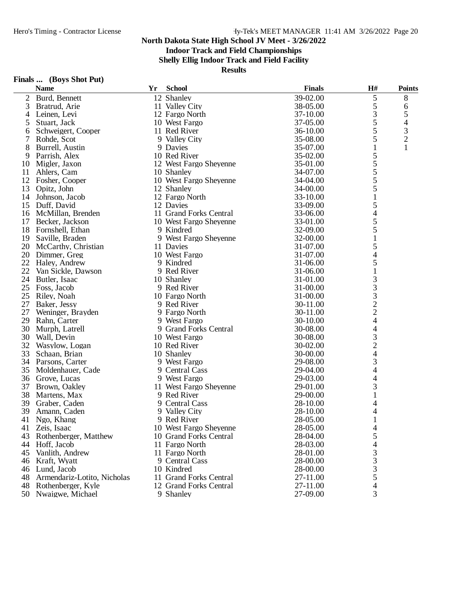**Indoor Track and Field Championships**

**Shelly Ellig Indoor Track and Field Facility**

| Finals | (Boys Shot Put) |
|--------|-----------------|
|--------|-----------------|

|    | <b>Name</b>                 | Yr | <b>School</b>          | <b>Finals</b> | H#                       | <b>Points</b>  |
|----|-----------------------------|----|------------------------|---------------|--------------------------|----------------|
| 2  | Burd, Bennett               |    | 12 Shanley             | 39-02.00      | 5                        | 8              |
| 3  | Bratrud, Arie               |    | 11 Valley City         | 38-05.00      | 5                        | 6              |
| 4  | Leinen, Levi                |    | 12 Fargo North         | 37-10.00      | 3                        | 5              |
| 5  | Stuart, Jack                |    | 10 West Fargo          | 37-05.00      | 5                        | 4              |
| 6  | Schweigert, Cooper          |    | 11 Red River           | 36-10.00      | 5                        | $\mathfrak{Z}$ |
| 7  | Rohde, Scot                 |    | 9 Valley City          | 35-08.00      | 5                        | $\overline{2}$ |
| 8  | Burrell, Austin             |    | 9 Davies               | 35-07.00      | 1                        | $\mathbf{1}$   |
| 9  | Parrish, Alex               |    | 10 Red River           | 35-02.00      | 5                        |                |
| 10 | Migler, Jaxon               |    | 12 West Fargo Sheyenne | 35-01.00      | 5                        |                |
| 11 | Ahlers, Cam                 |    | 10 Shanley             | 34-07.00      | 5                        |                |
| 12 | Fosher, Cooper              |    | 10 West Fargo Sheyenne | 34-04.00      | 5                        |                |
| 13 | Opitz, John                 |    | 12 Shanley             | 34-00.00      | 5                        |                |
| 14 | Johnson, Jacob              |    | 12 Fargo North         | 33-10.00      | $\mathbf{1}$             |                |
| 15 | Duff, David                 |    | 12 Davies              | 33-09.00      | 5                        |                |
| 16 | McMillan, Brenden           |    | 11 Grand Forks Central | 33-06.00      | 4                        |                |
| 17 | Becker, Jackson             |    | 10 West Fargo Sheyenne | 33-01.00      | 5                        |                |
| 18 | Fornshell, Ethan            |    | 9 Kindred              | 32-09.00      | 5                        |                |
| 19 | Saville, Braden             |    | 9 West Fargo Sheyenne  | 32-00.00      | $\mathbf{1}$             |                |
| 20 | McCarthy, Christian         |    | 11 Davies              | 31-07.00      | 5                        |                |
| 20 | Dimmer, Greg                |    | 10 West Fargo          | 31-07.00      | 4                        |                |
|    | 22 Haley, Andrew            |    | 9 Kindred              | 31-06.00      | 5                        |                |
| 22 | Van Sickle, Dawson          |    | 9 Red River            | 31-06.00      | $\mathbf{1}$             |                |
| 24 | Butler, Isaac               |    | 10 Shanley             | 31-01.00      | 3                        |                |
| 25 | Foss, Jacob                 |    | 9 Red River            | 31-00.00      | 3                        |                |
| 25 | Riley, Noah                 |    | 10 Fargo North         | 31-00.00      | 3                        |                |
| 27 | Baker, Jessy                |    | 9 Red River            | 30-11.00      |                          |                |
| 27 | Weninger, Brayden           |    | 9 Fargo North          | 30-11.00      | $\frac{2}{2}$            |                |
| 29 | Rahn, Carter                |    | 9 West Fargo           | 30-10.00      | $\overline{\mathcal{L}}$ |                |
| 30 | Murph, Latrell              |    | 9 Grand Forks Central  | 30-08.00      | $\overline{\mathcal{L}}$ |                |
| 30 | Wall, Devin                 |    | 10 West Fargo          | 30-08.00      | 3                        |                |
| 32 | Wasylow, Logan              |    | 10 Red River           | 30-02.00      | $\overline{c}$           |                |
| 33 | Schaan, Brian               |    | 10 Shanley             | 30-00.00      | 4                        |                |
|    | 34 Parsons, Carter          |    | 9 West Fargo           | 29-08.00      | 3                        |                |
| 35 | Moldenhauer, Cade           |    | 9 Central Cass         | 29-04.00      | $\overline{\mathcal{L}}$ |                |
| 36 | Grove, Lucas                |    | 9 West Fargo           | 29-03.00      | 4                        |                |
| 37 | Brown, Oakley               |    | 11 West Fargo Sheyenne | 29-01.00      | 3                        |                |
| 38 | Martens, Max                |    | 9 Red River            | 29-00.00      | 1                        |                |
| 39 | Graber, Caden               |    | 9 Central Cass         | 28-10.00      | 4                        |                |
| 39 | Amann, Caden                |    | 9 Valley City          | 28-10.00      | 4                        |                |
| 41 | Ngo, Khang                  |    | 9 Red River            | 28-05.00      |                          |                |
| 41 | Zeis, Isaac                 |    | 10 West Fargo Sheyenne | 28-05.00      |                          |                |
| 43 | Rothenberger, Matthew       |    | 10 Grand Forks Central | 28-04.00      | 4<br>5                   |                |
| 44 | Hoff, Jacob                 |    | 11 Fargo North         | 28-03.00      | 4                        |                |
| 45 | Vanlith, Andrew             |    | 11 Fargo North         | 28-01.00      | 3                        |                |
|    |                             |    | 9 Central Cass         | 28-00.00      | 3                        |                |
| 46 | Kraft, Wyatt<br>Lund, Jacob |    | 10 Kindred             | 28-00.00      | 3                        |                |
| 46 |                             |    | 11 Grand Forks Central |               | 5                        |                |
| 48 | Armendariz-Lotito, Nicholas |    |                        | 27-11.00      |                          |                |
|    | 48 Rothenberger, Kyle       |    | 12 Grand Forks Central | 27-11.00      | 4<br>3                   |                |
|    | 50 Nwaigwe, Michael         |    | 9 Shanley              | 27-09.00      |                          |                |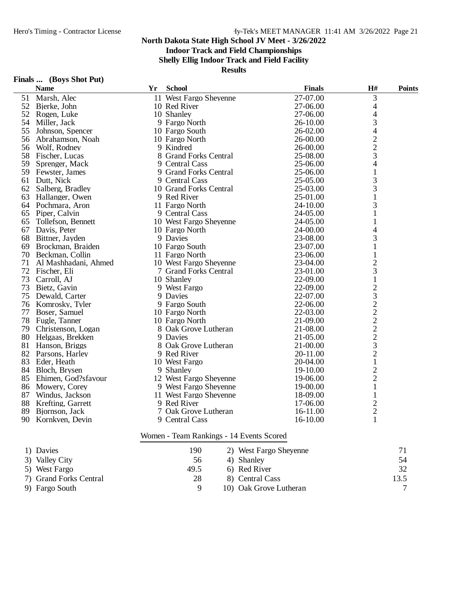### **Indoor Track and Field Championships**

**Shelly Ellig Indoor Track and Field Facility**

#### **Results**

| Finals | (Boys Shot Put) |
|--------|-----------------|
|--------|-----------------|

|    | $\mathbf{r}$ mans $\mathbf{w}$ ( $\mathbf{D}$ $\mathbf{v}$ ) $\mathbf{D}$ mot $\mathbf{r}$ at)<br><b>Name</b> | Yr | <b>School</b>          | <b>Finals</b> | H#                       | <b>Points</b> |
|----|---------------------------------------------------------------------------------------------------------------|----|------------------------|---------------|--------------------------|---------------|
|    | 51 Marsh, Alec                                                                                                |    | 11 West Fargo Sheyenne | 27-07.00      | 3                        |               |
|    | 52 Bjerke, John                                                                                               |    | 10 Red River           | 27-06.00      | $\overline{\mathcal{A}}$ |               |
|    | 52 Rogen, Luke                                                                                                |    | 10 Shanley             | 27-06.00      | $\overline{\mathcal{L}}$ |               |
| 54 | Miller, Jack                                                                                                  |    | 9 Fargo North          | 26-10.00      | 3                        |               |
| 55 | Johnson, Spencer                                                                                              |    | 10 Fargo South         | 26-02.00      | $\overline{\mathcal{A}}$ |               |
|    | 56 Abrahamson, Noah                                                                                           |    | 10 Fargo North         | 26-00.00      |                          |               |
|    | 56 Wolf, Rodney                                                                                               |    | 9 Kindred              | 26-00.00      | $\frac{2}{2}$            |               |
|    | 58 Fischer, Lucas                                                                                             |    | 8 Grand Forks Central  | 25-08.00      | 3                        |               |
| 59 | Sprenger, Mack                                                                                                |    | 9 Central Cass         | 25-06.00      | 4                        |               |
|    | 59 Fewster, James                                                                                             |    | 9 Grand Forks Central  | 25-06.00      | 1                        |               |
| 61 | Dutt, Nick                                                                                                    |    | 9 Central Cass         | 25-05.00      | 3                        |               |
|    | 62 Salberg, Bradley                                                                                           |    | 10 Grand Forks Central | 25-03.00      | 3                        |               |
|    | 63 Hallanger, Owen                                                                                            |    | 9 Red River            | 25-01.00      | 1                        |               |
|    | 64 Pochmara, Aron                                                                                             |    | 11 Fargo North         | 24-10.00      | 3                        |               |
| 65 | Piper, Calvin                                                                                                 |    | 9 Central Cass         | 24-05.00      | 1                        |               |
| 65 | Tollefson, Bennett                                                                                            |    | 10 West Fargo Sheyenne | 24-05.00      | $\mathbf{1}$             |               |
|    | 67 Davis, Peter                                                                                               |    | 10 Fargo North         | 24-00.00      | 4                        |               |
|    | 68 Bittner, Jayden                                                                                            |    | 9 Davies               | 23-08.00      | 3                        |               |
| 69 | Brockman, Braiden                                                                                             |    | 10 Fargo South         | 23-07.00      | 1                        |               |
|    | 70 Beckman, Collin                                                                                            |    | 11 Fargo North         | 23-06.00      | 1                        |               |
| 71 | Al Mashhadani, Ahmed                                                                                          |    | 10 West Fargo Sheyenne | 23-04.00      | $\mathbf{2}$             |               |
|    | 72 Fischer, Eli                                                                                               |    | 7 Grand Forks Central  | 23-01.00      | 3                        |               |
| 73 | Carroll, AJ                                                                                                   |    | 10 Shanley             | 22-09.00      | $\mathbf{1}$             |               |
| 73 | Bietz, Gavin                                                                                                  |    | 9 West Fargo           | 22-09.00      | $\overline{c}$           |               |
|    | 75 Dewald, Carter                                                                                             |    | 9 Davies               | 22-07.00      | 3                        |               |
|    | 76 Komrosky, Tyler                                                                                            |    | 9 Fargo South          | 22-06.00      |                          |               |
|    | 77 Boser, Samuel                                                                                              |    | 10 Fargo North         | 22-03.00      |                          |               |
|    | 78 Fugle, Tanner                                                                                              |    | 10 Fargo North         | 21-09.00      |                          |               |
| 79 | Christenson, Logan                                                                                            |    | 8 Oak Grove Lutheran   | 21-08.00      | $2222$<br>$223$          |               |
|    | 80 Helgaas, Brekken                                                                                           |    | 9 Davies               | 21-05.00      |                          |               |
|    | 81 Hanson, Briggs                                                                                             |    | 8 Oak Grove Lutheran   | 21-00.00      |                          |               |
|    | 82 Parsons, Harley                                                                                            |    | 9 Red River            | 20-11.00      | $\overline{c}$           |               |
|    | 83 Eder, Heath                                                                                                |    | 10 West Fargo          | 20-04.00      | $\mathbf{1}$             |               |
|    | 84 Bloch, Brysen                                                                                              |    | 9 Shanley              | 19-10.00      | $\overline{c}$           |               |
|    | 85 Ehimen, God?sfavour                                                                                        |    | 12 West Fargo Sheyenne | 19-06.00      | $\overline{2}$           |               |
|    | 86 Mowery, Corey                                                                                              |    | 9 West Fargo Sheyenne  | 19-00.00      | $\mathbf{1}$             |               |
| 87 | Windus, Jackson                                                                                               |    | 11 West Fargo Sheyenne | 18-09.00      | 1                        |               |
| 88 | Krefting, Garrett                                                                                             |    | 9 Red River            | 17-06.00      | $\overline{2}$           |               |
| 89 | Bjornson, Jack                                                                                                |    | 7 Oak Grove Lutheran   | 16-11.00      | $\overline{c}$           |               |
|    | 90 Kornkven, Devin                                                                                            |    | 9 Central Cass         | 16-10.00      | $\mathbf{1}$             |               |
|    |                                                                                                               |    |                        |               |                          |               |

#### Women - Team Rankings - 14 Events Scored

| 1) Davies              | 190  | 2) West Fargo Sheyenne | 71           |
|------------------------|------|------------------------|--------------|
| 3) Valley City         | 56   | 4) Shanley             | 54           |
| 5) West Fargo          | 49.5 | 6) Red River           | 32           |
| 7) Grand Forks Central | 28   | 8) Central Cass        | 13.5         |
| 9) Fargo South         | 9    | 10) Oak Grove Lutheran | $\mathbf{r}$ |